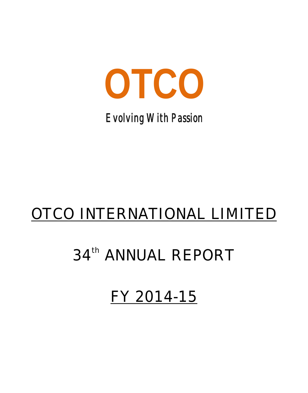

*Evolving With Passion*

# OTCO INTERNATIONAL LIMITED

# 34<sup>th</sup> ANNUAL REPORT

FY 2014-15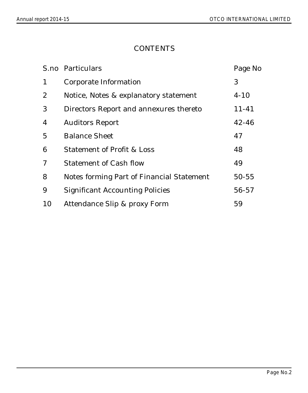### **CONTENTS**

|                | S.no Particulars                          | Page No   |
|----------------|-------------------------------------------|-----------|
| 1              | Corporate Information                     | 3         |
| 2              | Notice, Notes & explanatory statement     | $4 - 10$  |
| 3              | Directors Report and annexures thereto    | $11 - 41$ |
| $\overline{4}$ | <b>Auditors Report</b>                    | $42 - 46$ |
| $\overline{5}$ | <b>Balance Sheet</b>                      | 47        |
| 6              | <b>Statement of Profit &amp; Loss</b>     | 48        |
| 7              | <b>Statement of Cash flow</b>             | 49        |
| 8              | Notes forming Part of Financial Statement | $50 - 55$ |
| 9              | <b>Significant Accounting Policies</b>    | 56-57     |
| 10             | Attendance Slip & proxy Form              | 59        |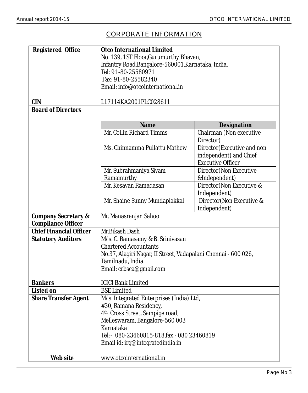### CORPORATE INFORMATION

| Registered Office              | Otco International Limited                                     |                                                    |  |  |  |
|--------------------------------|----------------------------------------------------------------|----------------------------------------------------|--|--|--|
|                                | No. 139, 1ST Floor, Gurumurthy Bhavan,                         |                                                    |  |  |  |
|                                | Infantry Road, Bangalore-560001, Karnataka, India.             |                                                    |  |  |  |
|                                | Tel: 91-80-25580971                                            |                                                    |  |  |  |
|                                | Fax: 91-80-25582340                                            |                                                    |  |  |  |
|                                | Email: info@otcointernational.in                               |                                                    |  |  |  |
|                                |                                                                |                                                    |  |  |  |
| <b>CIN</b>                     | L17114KA2001PLC028611                                          |                                                    |  |  |  |
| <b>Board of Directors</b>      |                                                                |                                                    |  |  |  |
|                                | Name                                                           | Designation                                        |  |  |  |
|                                | Mr. Collin Richard Timms                                       | Chairman (Non executive<br>Director)               |  |  |  |
|                                | Ms. Chinnamma Pullattu Mathew                                  | Director (Executive and non                        |  |  |  |
|                                |                                                                | independent) and Chief<br><b>Executive Officer</b> |  |  |  |
|                                | Mr. Subrahmaniya Sivam                                         | Director (Non Executive                            |  |  |  |
|                                | Ramamurthy                                                     | &Independent)                                      |  |  |  |
|                                | Mr. Kesavan Ramadasan                                          | Director (Non Executive &                          |  |  |  |
|                                |                                                                | Independent)                                       |  |  |  |
|                                | Mr. Shaine Sunny Mundaplakkal                                  | Director (Non Executive &                          |  |  |  |
|                                | Independent)                                                   |                                                    |  |  |  |
| Company Secretary &            | Mr. Manasranjan Sahoo                                          |                                                    |  |  |  |
| Compliance Officer             |                                                                |                                                    |  |  |  |
| <b>Chief Financial Officer</b> | Mr.Bikash Dash                                                 |                                                    |  |  |  |
| <b>Statutory Auditors</b>      | M/s. C. Ramasamy & B. Srinivasan                               |                                                    |  |  |  |
|                                | <b>Chartered Accountants</b>                                   |                                                    |  |  |  |
|                                | No.37, Alagiri Nagar, II Street, Vadapalani Chennai - 600 026, |                                                    |  |  |  |
|                                | Tamilnadu, India.                                              |                                                    |  |  |  |
|                                | Email: crbsca@gmail.com                                        |                                                    |  |  |  |
| <b>Bankers</b>                 | <b>ICICI Bank Limited</b>                                      |                                                    |  |  |  |
| Listed on                      | <b>BSE Limited</b>                                             |                                                    |  |  |  |
| <b>Share Transfer Agent</b>    | M/s. Integrated Enterprises (India) Ltd,                       |                                                    |  |  |  |
|                                | #30, Ramana Residency,                                         |                                                    |  |  |  |
|                                | 4 <sup>th</sup> Cross Street, Sampige road,                    |                                                    |  |  |  |
|                                | Melleswaram, Bangalore-560 003                                 |                                                    |  |  |  |
|                                | Karnataka                                                      |                                                    |  |  |  |
|                                | Tel:- 080-23460815-818, fax:- 080 23460819                     |                                                    |  |  |  |
|                                | Email id: irg@integratedindia.in                               |                                                    |  |  |  |
| Web site                       | www.otcointernational.in                                       |                                                    |  |  |  |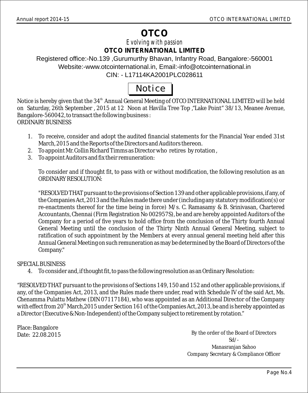## **OTCO**

*Evolving with passion* **OTCO INTERNATIONAL LIMITED**

Registered office:-No.139 ,Gurumurthy Bhavan, Infantry Road, Bangalore:-560001 Website:-www.otcointernational.in, Email:-info@otcointernational.in CIN: - L17114KA2001PLC028611

## Notice

Notice is hereby given that the 34<sup>th</sup> Annual General Meeting of OTCO INTERNATIONAL LIMITED will be held on Saturday, 26th September , 2015 at 12 Noon at Havilla Tree Top ,"Lake Point" 38/13, Meanee Avenue, Bangalore-560042, to transact the following business : ORDINARY BUSINESS

- 1. To receive, consider and adopt the audited financial statements for the Financial Year ended 31st March, 2015 and the Reports of the Directors and Auditors thereon.
- 2. To appoint Mr. Collin Richard Timms as Director who retires by rotation ,
- 3. To appoint Auditors and fix their remuneration:

To consider and if thought fit, to pass with or without modification, the following resolution as an ORDINARY RESOLUTION:

"RESOLVED THAT pursuant to the provisions of Section 139 and other applicable provisions, if any, of the Companies Act, 2013 and the Rules made there under (including any statutory modification(s) or re-enactments thereof for the time being in force) M/s. C. Ramasamy & B. Srinivasan, Chartered Accountants, Chennai (Firm Registration No 002957S), be and are hereby appointed Auditors of the Company for a period of five years to hold office from the conclusion of the Thirty fourth Annual General Meeting until the conclusion of the Thirty Ninth Annual General Meeting, subject to ratification of such appointment by the Members at every annual general meeting held after this Annual General Meeting on such remuneration as may be determined by the Board of Directors of the Company."

### SPECIAL BUSINESS

4. To consider and, if thought fit, to pass the following resolution as an Ordinary Resolution:

"RESOLVED THAT pursuant to the provisions of Sections 149, 150 and 152 and other applicable provisions, if any, of the Companies Act, 2013, and the Rules made there under, read with Schedule IV of the said Act, Ms. Chenamma Pulattu Mathew (DIN 07117184), who was appointed as an Additional Director of the Company with effect from 20<sup>th</sup> March,2015 under Section 161 of the Companies Act, 2013, be and is hereby appointed as a Director (Executive & Non-Independent) of the Company subject to retirement by rotation."

Place: Bangalore Date: 22.08.2015

By the order of the Board of Directors Sd/- Manasranjan Sahoo Company Secretary & Compliance Officer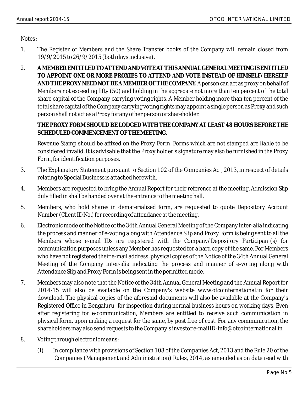Notes :

- 1. The Register of Members and the Share Transfer books of the Company will remain closed from 19/9/2015 to 26/9/2015 (both days inclusive).
- 2. **A MEMBER ENTITLED TO ATTEND AND VOTE AT THIS ANNUAL GENERAL MEETING IS ENTITLED TO APPOINT ONE OR MORE PROXIES TO ATTEND AND VOTE INSTEAD OF HIMSELF/HERSELF AND THE PROXY NEED NOT BE A MEMBER OF THE COMPANY.**A person can act as proxy on behalf of Members not exceeding fifty (50) and holding in the aggregate not more than ten percent of the total share capital of the Company carrying voting rights. A Member holding more than ten percent of the total share capital of the Company carrying voting rights may appoint a single person as Proxy and such person shall not act as a Proxy for any other person or shareholder.

**THE PROXY FORM SHOULD BE LODGED WITH THE COMPANY AT LEAST 48 HOURS BEFORE THE SCHEDULED COMMENCEMENT OF THE MEETING.** 

Revenue Stamp should be affixed on the Proxy Form. Forms which are not stamped are liable to be considered invalid. It is advisable that the Proxy holder's signature may also be furnished in the Proxy Form, for identification purposes.

- 3. The Explanatory Statement pursuant to Section 102 of the Companies Act, 2013, in respect of details relating to Special Business is attached herewith.
- 4. Members are requested to bring the Annual Report for their reference at the meeting. Admission Slip duly filled in shall be handed over at the entrance to the meeting hall.
- 5. Members, who hold shares in dematerialised form, are requested to quote Depository Account Number (Client ID No.) for recording of attendance at the meeting.
- 6. Electronic mode of the Notice of the 34th Annual General Meeting of the Company inter-alia indicating the process and manner of e-voting along with Attendance Slip and Proxy Form is being sent to all the Members whose e-mail IDs are registered with the Company/Depository Participant(s) for communication purposes unless any Member has requested for a hard copy of the same. For Members who have not registered their e-mail address, physical copies of the Notice of the 34th Annual General Meeting of the Company inter-alia indicating the process and manner of e-voting along with Attendance Slip and Proxy Form is being sent in the permitted mode.
- 7. Members may also note that the Notice of the 34th Annual General Meeting and the Annual Report for 2014-15 will also be available on the Company's website www.otcointernational.in for their download. The physical copies of the aforesaid documents will also be available at the Company's Registered Office in Bengaluru for inspection during normal business hours on working days. Even after registering for e-communication, Members are entitled to receive such communication in physical form, upon making a request for the same, by post free of cost. For any communication, the shareholders may also send requests to the Company's investor e-maiIID: info@otcointernational.in
- 8. Voting through electronic means:
	- (I) In compliance with provisions of Section 108 of the Companies Act, 2013 and the Rule 20 of the Companies (Management and Administration) Rules, 2014, as amended as on date read with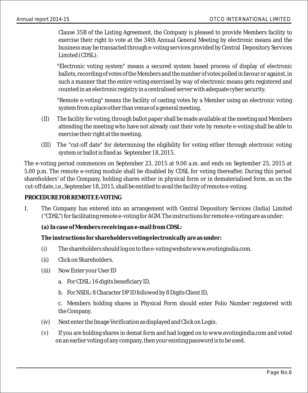Clause 35B of the Listing Agreement, the Company is pleased to provide Members facility to exercise their right to vote at the 34th Annual General Meeting by electronic means and the business may be transacted through e-voting services provided by Central Depository Services Limited (CDSL):

"Electronic voting system" means a secured system based process of display of electronic ballots, recording of votes of the Members and the number of votes polled in favour or against, in such a manner that the entire voting exercised by way of electronic means gets registered and counted in an electronic registry in a centralised server with adequate cyber security.

"Remote e-voting" means the facility of casting votes by a Member using an electronic voting system from a place other than venue of a general meeting.

- (II) The facility for voting, through ballot paper shall be made available at the meeting and Members attending the meeting who have not already cast their vote by remote e-voting shall be able to exercise their right at the meeting.
- (III) The "cut-off date" for determining the eligibility for voting either through electronic voting system or ballot is fixed as September 18, 2015. system or ballot is fixed as September 18, 2015.

The e-voting period commences on September 23, 2015 at 9.00 a.m. and ends on September 25, 2015 at 5.00 p.m. The remote e-voting module shall be disabled by CDSL for voting thereafter. During this period shareholders' of the Company, holding shares either in physical form or in dematerialised form, as on the off date, i.e., September 18, 2015, shall be entitled to avail the facility of remote e-voting. cut-off date, i.e., September 18, 2015, shall be entitled to avail the facility of remote e-voting. The e-voting period commences on September 23, 2015 at 9.00 a.m. and ends on September 25, 2015 at<br>5.00 p.m. The remote e-voting module shall be disabled by CDSL for voting thereafter. During this period<br>shareholders' of t

### **PROCEDURE FOR REMOTE E-VOTING**

- I. The Company has entered into an arrangement with Central Depository Services (India) Limited ("CDSL") for facilitating remote e-voting for AGM. The instructions for remote e-voting are as under:
	- **(a) In case of Members receiving an e-mail from CDSL:**

**The instructions for shareholders voting electronically are as under:**

- (i) The shareholders should log on to the e-voting website www.evotingindia.com.
- (ii) Click on Shareholders.
- (iii) Now Enter your User ID
	- a. For CDSL: 16 digits beneficiary ID,
	- b. For NSDL: 8 Character DP ID followed by 8 Digits Client ID,

c. Members holding shares in Physical Form should enter Folio Number registered with the Company.

- (iv) Next enter the Image Verification as displayed and Click on Login.
- (v) If you are holding shares in demat form and had logged on to www.evotingindia.com and voted on an earlier voting of any company, then your existing password is to be used.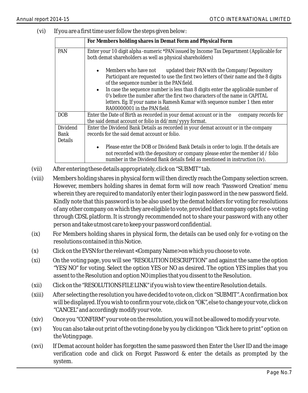(vi) If you are a first time user follow the steps given below:

|                | For Members holding shares in Demat Form and Physical Form                                                                                                                                                                                           |  |  |  |  |
|----------------|------------------------------------------------------------------------------------------------------------------------------------------------------------------------------------------------------------------------------------------------------|--|--|--|--|
| <b>PAN</b>     | Enter your 10 digit alpha-numeric *PAN issued by Income Tax Department (Applicable for<br>both demat shareholders as well as physical shareholders)                                                                                                  |  |  |  |  |
|                | Members who have not<br>updated their PAN with the Company/Depository<br>Participant are requested to use the first two letters of their name and the 8 digits<br>of the sequence number in the PAN field.                                           |  |  |  |  |
|                | In case the sequence number is less than 8 digits enter the applicable number of<br>0's before the number after the first two characters of the name in CAPITAL                                                                                      |  |  |  |  |
|                | letters. Eg. If your name is Ramesh Kumar with sequence number 1 then enter<br>RA00000001 in the PAN field.                                                                                                                                          |  |  |  |  |
| DOB            | Enter the Date of Birth as recorded in your demat account or in the<br>company records for<br>the said demat account or folio in dd/mm/yyyy format.                                                                                                  |  |  |  |  |
| Dividend       | Enter the Dividend Bank Details as recorded in your demat account or in the company                                                                                                                                                                  |  |  |  |  |
| Bank           | records for the said demat account or folio.                                                                                                                                                                                                         |  |  |  |  |
| <b>Details</b> |                                                                                                                                                                                                                                                      |  |  |  |  |
|                | Please enter the DOB or Dividend Bank Details in order to login. If the details are<br>not recorded with the depository or company please enter the member id / folio<br>number in the Dividend Bank details field as mentioned in instruction (iv). |  |  |  |  |

- (vii) After entering these details appropriately, click on "SUBMIT" tab.
- (viii) Members holding shares in physical form will then directly reach the Company selection screen. However, members holding shares in demat form will now reach 'Password Creation' menu wherein they are required to mandatorily enter their login password in the new password field. Kindly note that this password is to be also used by the demat holders for voting for resolutions of any other company on which they are eligible to vote, provided that company opts for e-voting through CDSL platform. It is strongly recommended not to share your password with any other person and take utmost care to keep your password confidential.
- (ix) For Members holding shares in physical form, the details can be used only for e-voting on the resolutions contained in this Notice.
- (x) Click on the EVSN for the relevant <Company Name> on which you choose to vote.
- (xi) On the voting page, you will see "RESOLUTION DESCRIPTION" and against the same the option "YES/NO" for voting. Select the option YES or NO as desired. The option YES implies that you assent to the Resolution and option NO implies that you dissent to the Resolution.
- (xii) Click on the "RESOLUTIONS FILE LINK" if you wish to view the entire Resolution details.
- (xiii) After selecting the resolution you have decided to vote on, click on "SUBMIT". A confirmation box will be displayed. If you wish to confirm your vote, click on "OK", else to change your vote, click on "CANCEL" and accordingly modify your vote.
- (xiv) Once you "CONFIRM" your vote on the resolution, you will not be allowed to modify your vote.
- (xv) You can also take out print of the voting done by you by clicking on "Click here to print" option on the Voting page.
- (xvi) If Demat account holder has forgotten the same password then Enter the User ID and the image verification code and click on Forgot Password & enter the details as prompted by the system.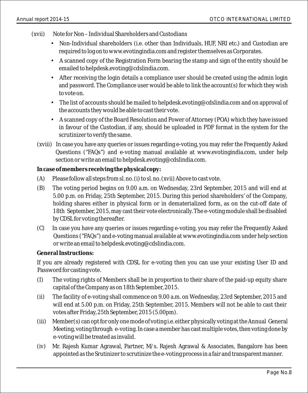- (xvii) Note for Non Individual Shareholders and Custodians
	- Non-Individual shareholders (i.e. other than Individuals, HUF, NRI etc.) and Custodian are required to log on to www.evotingindia.com and register themselves as Corporates.
	- A scanned copy of the Registration Form bearing the stamp and sign of the entity should be emailed to helpdesk.evoting@cdslindia.com.
	- After receiving the login details a compliance user should be created using the admin login and password. The Compliance user would be able to link the account(s) for which they wish to vote on.
	- The list of accounts should be mailed to helpdesk.evoting@cdslindia.com and on approval of the accounts they would be able to cast their vote.
	- A scanned copy of the Board Resolution and Power of Attorney (POA) which they have issued in favour of the Custodian, if any, should be uploaded in PDF format in the system for the scrutinizer to verify the same.
	- (xviii) In case you have any queries or issues regarding e-voting, you may refer the Frequently Asked Questions ("FAQs") and e-voting manual available at www.evotingindia.com, under help section or write an email to helpdesk.evoting@cdslindia.com.

**In case of members receiving the physical copy:**

- (A) Please follow all steps from sl. no. (i) to sl. no. (xvii) Above to cast vote.
- (B) The voting period begins on 9.00 a.m. on Wednesday, 23rd September, 2015 and will end at 5.00 p.m. on Friday, 25th September, 2015. During this period shareholders' of the Company, holding shares either in physical form or in dematerialized form, as on the cut-off date of 18th September, 2015, may cast their vote electronically. The e-voting module shall be disabled by CDSL for voting thereafter. by CDSL for thereafter.
- (C) In case you have any queries or issues regarding e-voting, you may refer the Frequently Asked Questions ("FAQs") and e-voting manual available at www.evotingindia.com under help section or write an email to helpdesk.evoting@cdslindia.com.

**General Instructions:**

If you are already registered with CDSL for e-voting then you can use your existing User ID and Password for casting vote.

- (i) The voting rights of Members shall be in proportion to their share of the paid-up equity share (I) The voting rights of Members shall be in proportion to their share of the paid-up equity share capital of the Company as Friday, 18th September, 2015. capital of the Company as on 18th September, 2015.
- (ii) The facility of e-voting shall commence on 9.00 a.m. on Wednesday, 23rd September, 2015 and will end at 5.00 p.m. on Friday, 25th September, 2015. Members will not be able to cast their votes after Friday, 25th September, 2015 (5.00pm).
- (iii) Member(s) can opt for only one mode of voting i.e. either physically voting at the Annual General Meeting, voting through e-voting. In case a member has cast multiple votes, then voting done by e-voting will be treated as invalid.
- (iv) Mr. Rajesh Kumar Agrawal, Partner, M/s. Rajesh Agrawal & Associates, Bangalore has been appointed as the Srutinizer to scrutinize the e-voting process in a fair and transparent manner.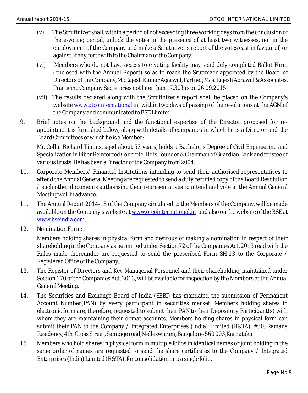- (v) The Scrutinizer shall, within a period of not exceeding three working days from the conclusion of the e-voting period, unlock the votes in the presence of at least two witnesses, not in the employment of the Company and make a Scrutinizer's report of the votes cast in favour of, or against, if any, forthwith to the Chairman of the Company.
- (vi) Members who do not have access to e-voting facility may send duly completed Ballot Form (enclosed with the Annual Report) so as to reach the Srutinizer appointed by the Board of Directors of the Company, Mr.Rajesh Kumar Agarwal, Partner, M/s. Rajesh Agrawal & Associates, Practicing Company Secretaries not later than 17.30 hrs on 26.09.2015.
- (vii) The results declared along with the Scrutinizer's report shall be placed on the Company's website <u>www.otcointernational.in</u> within two days of passing of the resolutions at the AGM of the Company and communicated to BSE Limited.
- 9. Brief notes on the background and the functional expertise of the Director proposed for reappointment is furnished below, along with details of companies in which he is a Director and the Board Committees of which he is a Member:

Mr. Collin Richard Timms, aged about 53 years, holds a Bachelor's Degree of Civil Engineering and Specialization in Fiber Reinforced Concrete. He is Founder & Chairman of Guardian Bank and trustee of various trusts. He has been a Director of the Company from 2004.

- 10. Corporate Members/ Financial Institutions intending to send their authorised representatives to attend the Annual General Meeting are requested to send a duIy certified copy of the Board Resolution / such other documents authorising their representatives to attend and vote at the Annual General Meeting well in advance.
- 11. The Annual Report 2014-15 of the Company circulated to the Members of the Company, will be made available on the Company's website at and also on the website of the BSE at www.otcointernational.in <u>www.bseindia.com</u>.
- 12. Nomination Form:

Members holding shares in physical form and desirous of making a nomination in respect of their shareholding in the Company as permitted under Section 72 of the Companies Act, 2013 read with the Rules made thereunder are requested to send the prescribed Form SH-13 to the Corporate / Registered Office of the Company..

- 13. The Register of Directors and Key Managerial Personnel and their shareholding, maintained under Section 170 of the Companies Act, 2013, will be available for inspection by the Members at the Annual General Meeting.
- 14. The Securities and Exchange Board of India (SEBI) has mandated the submission of Permanent Account Number(PAN) by every participant in securities market. Members holding shares in electronic form are, therefore, requested to submit their PAN to their Depository Participant(s) with whom they are maintaining their demat accounts. Members holding shares in physical form can submit their PAN to the Company / Integrated Enterprises (India) Limited (R&TA), #30, Ramana Residency, 4th Cross Street, Sampige road,Melleswaram, Bangalore-560 003,Karnataka
- 15. Members who hold shares in physical form in multiple folios in identical names or joint holding in the same order of names are requested to send the share certificates to the Company / Integrated Enterprises (India) Limited (R&TA), for consolidation into a single folio.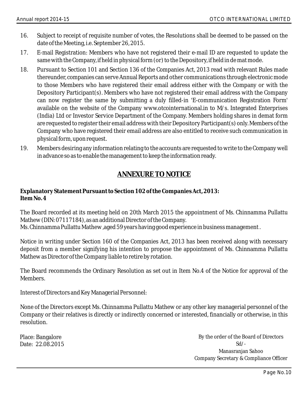- 16. Subject to receipt of requisite number of votes, the Resolutions shall be deemed to be passed on the date of the Meeting, i.e. September 26, 2015.
- 17. E-mail Registration: Members who have not registered their e-mail ID are requested to update the same with the Company, if held in physical form (or) to the Depository, if held in de mat mode.
- 18. Pursuant to Section 101 and Section 136 of the Companies Act, 2013 read with relevant Rules made thereunder, companies can serve Annual Reports and other communications through electronic mode to those Members who have registered their email address either with the Company or with the Depository Participant(s). Members who have not registered their email address with the Company can now register the same by submitting a duly filled-in 'E-communication Registration Form' available on the website of the Company www.otcointernational.in to M/s. Integrated Enterprises (India) Ltd or Investor Service Department of the Company. Members holding shares in demat form are requested to register their email address with their Depository Participant(s) only. Members of the Company who have registered their email address are also entitled to receive such communication in physical form, upon request.
- 19. Members desiring any information relating to the accounts are requested to write to the Company well in advance so as to enable the management to keep the information ready.

### **ANNEXURE TO NOTICE**

**Explanatory Statement Pursuant to Section 102 of the Companies Act, 2013: Item No. 4**

The Board recorded at its meeting held on 20th March 2015 the appointment of Ms. Chinnamma Pullattu Mathew (DIN: 07117184), as an additional Director of the Company. Ms. Chinnamma Pullattu Mathew ,aged 59 years having good experience in business management .

Notice in writing under Section 160 of the Companies Act, 2013 has been received along with necessary deposit from a member signifying his intention to propose the appointment of Ms. Chinnamma Pullattu Mathew as Director of the Company liable to retire by rotation.

The Board recommends the Ordinary Resolution as set out in Item No.4 of the Notice for approval of the Members.

Interest of Directors and Key Managerial Personnel:

None of the Directors except Ms. Chinnamma Pullattu Mathew or any other key managerial personnel of the Company or their relatives is directly or indirectly concerned or interested, financially or otherwise, in this resolution.

Place: Bangalore Date: 22.08.2015

By the order of the Board of Directors Sd/- Manasranjan Sahoo Company Secretary & Compliance Officer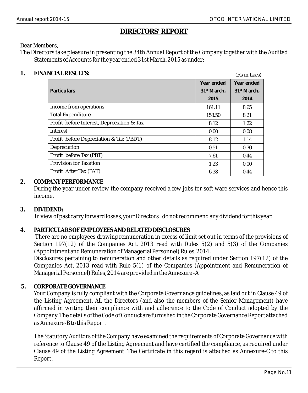$(Pc in Lace)$ 

### **DIRECTORS' REPORT**

Dear Members,

The Directors take pleasure in presenting the 34th Annual Report of the Company together with the Audited Statements of Accounts for the year ended 31st March, 2015 as under:-

### **1. FINANCIAL RESULTS:**

|                                            |                         | $100 \text{ m}$         |
|--------------------------------------------|-------------------------|-------------------------|
|                                            | Year ended              | Year ended              |
| Particulars                                | 31 <sup>st</sup> March. | 31 <sup>st</sup> March. |
|                                            | 2015                    | 2014                    |
| Income from operations                     | 161.11                  | 8.65                    |
| <b>Total Expenditure</b>                   | 153.50                  | 8.21                    |
| Profit before Interest, Depreciation & Tax | 8.12                    | 1.22                    |
| Interest                                   | 0.00                    | 0.08                    |
| Profit before Depreciation & Tax (PBDT)    | 8.12                    | 1.14                    |
| Depreciation                               | 0.51                    | 0.70                    |
| Profit before Tax (PBT)                    | 7.61                    | 0.44                    |
| <b>Provision for Taxation</b>              | 1.23                    | 0.00                    |
| Profit After Tax (PAT)                     | 6.38                    | 0.44                    |

### **2. COMPANY PERFORMANCE**

During the year under review the company received a few jobs for soft ware services and hence this income.

### **3. DIVIDEND:**

In view of past carry forward losses, your Directors do not recommend any dividend for this year.

### **4. PARTICULARS OF EMPLOYEES AND RELATED DISCLOSURES**

There are no employees drawing remuneration in excess of limit set out in terms of the provisions of Section 197(12) of the Companies Act, 2013 read with Rules 5(2) and 5(3) of the Companies (Appointment and Remuneration of Managerial Personnel) Rules, 2014,

Disclosures pertaining to remuneration and other details as required under Section 197(12) of the Companies Act, 2013 read with Rule 5(1) of the Companies (Appointment and Remuneration of Managerial Personnel) Rules, 2014 are provided in the Annexure -A

**5. CORPORATE GOVERNANCE**

Your Company is fully compliant with the Corporate Governance guidelines, as laid out in Clause 49 of the Listing Agreement. All the Directors (and also the members of the Senior Management) have affirmed in writing their compliance with and adherence to the Code of Conduct adopted by the Company. The details of the Code of Conduct are furnished in the Corporate Governance Report attached as Annexure-B to this Report.

The Statutory Auditors of the Company have examined the requirements of Corporate Governance with reference to Clause 49 of the Listing Agreement and have certified the compliance, as required under Clause 49 of the Listing Agreement. The Certificate in this regard is attached as Annexure-C to this Report.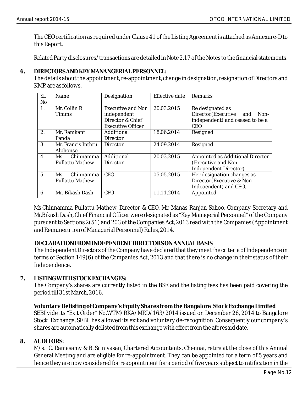The CEO certification as required under Clause 41 of the Listing Agreement is attached as Annexure-D to this Report.

Related Party disclosures/transactions are detailed in Note 2.17 of the Notes to the financial statements.

### **6. DIRECTORS AND KEY MANANGERIAL PERSONNEL:**

The details about the appointment, re-appointment, change in designation, resignation of Directors and KMP, are as follows.

| SL.<br>N <sub>o</sub> | Name                                       | Designation                                                                             | <b>Effective date</b> | <b>Remarks</b>                                                                                      |
|-----------------------|--------------------------------------------|-----------------------------------------------------------------------------------------|-----------------------|-----------------------------------------------------------------------------------------------------|
| 1.                    | Mr. Collin R<br><b>Timms</b>               | <b>Executive and Non</b><br>independent<br>Director & Chief<br><b>Executive Officer</b> | 20.03.2015            | Re designated as<br>Director(Executive and<br>Non-<br>independent) and ceased to be a<br><b>CEO</b> |
| 2.                    | Mr. Ramkant<br>Panda                       | Additional<br>Director                                                                  | 18.06.2014            | Resigned                                                                                            |
| 3.                    | Mr. Francis Inthru<br>Alphonso             | <b>Director</b>                                                                         | 24.09.2014            | Resigned                                                                                            |
| $\mathbf{4}$ .        | Chinnamma<br>Ms.<br><b>Pullattu Mathew</b> | Additional<br><b>Director</b>                                                           | 20.03.2015            | Appointed as Additional Director<br>(Executive and Non<br>Independent Director)                     |
| 5 <sub>1</sub>        | Chinnamma<br>Ms.<br><b>Pullattu Mathew</b> | <b>CEO</b>                                                                              | 05.05.2015            | Her designation changes as<br>Director (Executive & Non<br>Indeoendent) and CEO.                    |
| 6.                    | Mr. Bikash Dash                            | <b>CFO</b>                                                                              | 11.11.2014            | Appointed                                                                                           |

Ms.Chinnamma Pullattu Mathew, Director & CEO, Mr. Manas Ranjan Sahoo, Company Secretary and Mr.Bikash Dash, Chief Financial Officer were designated as "Key Managerial Personnel" of the Company pursuant to Sections 2(51) and 203 of the Companies Act, 2013 read with the Companies (Appointment and Remuneration of Managerial Personnel) Rules, 2014.

### **DECLARATION FROM INDEPENDENT DIRECTORS ON ANNUAL BASIS**

The Independent Directors of the Company have declared that they meet the criteria of Independence in terms of Section 149(6) of the Companies Act, 2013 and that there is no change in their status of their Independence.

### **7. LISTING WITH STOCK EXCHANGES:**

The Company's shares are currently listed in the BSE and the listing fees has been paid covering the period till 31st March, 2016.

**Voluntary Delisting of Company's Equity Shares from the Bangalore Stock Exchange Limited**  SEBI vide its "Exit Order" No.WTM/RKA/MRD/163/2014 issued on December 26, 2014 to Bangalore Stock Exchange, SEBI has allowed its exit and voluntary de-recognition. Consequently our company's shares are automatically delisted from this exchange with effect from the aforesaid date.

### **8. AUDITORS:**

M/s. C. Ramasamy & B. Srinivasan, Chartered Accountants, Chennai, retire at the close of this Annual General Meeting and are eligible for re-appointment. They can be appointed for a term of 5 years and hence they are now considered for reappointment for a period of five years subject to ratification in the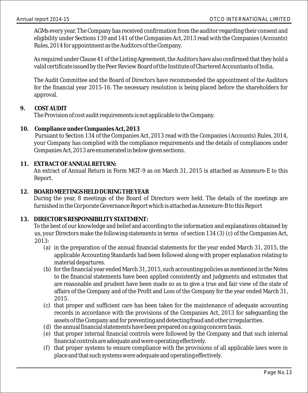AGMs every year. The Company has received confirmation from the auditor regarding their consent and eligibility under Sections 139 and 141 of the Companies Act, 2013 read with the Companies (Accounts) Rules, 2014 for appointment as the Auditors of the Company.

As required under Clause 41 of the Listing Agreement, the Auditors have also confirmed that they hold a valid certificate issued by the Peer Review Board of the Institute of Chartered Accountants of India.

The Audit Committee and the Board of Directors have recommended the appointment of the Auditors for the financial year 2015-16. The necessary resolution is being placed before the shareholders for approval.

### **9. COST AUDIT**

The Provision of cost audit requirements is not applicable to the Company.

**10. Compliance under Companies Act, 2013**

Pursuant to Section 134 of the Companies Act, 2013 read with the Companies (Accounts) Rules, 2014, your Company has complied with the compliance requirements and the details of compliances under Companies Act, 2013 are enumerated in below given sections.

**11. EXTRACT OF ANNUAL RETURN:**

An extract of Annual Return in Form MGT-9 as on March 31, 2015 is attached as Annexure-E to this Report.

**12. BOARD MEETINGS HELD DURING THE YEAR**

During the year, 8 meetings of the Board of Directors were held. The details of the meetings are furnished in the Corporate Governance Report which is attached as Annexure-B to this Report

### **13. DIRECTOR'S RESPONSIBILITY STATEMENT:**

To the best of our knowledge and belief and according to the information and explanations obtained by us, your Directors make the following statements in terms of section 134 (3) (c) of the Companies Act, 2013:

- (a) in the preparation of the annual financial statements for the year ended March 31, 2015, the applicable Accounting Standards had been followed along with proper explanation relating to material departures.
- (b) for the financial year ended March 31, 2015, such accounting policies as mentioned in the Notes to the financial statements have been applied consistently and judgments and estimates that are reasonable and prudent have been made so as to give a true and fair view of the state of affairs of the Company and of the Profit and Loss of the Company for the year ended March 31, 2015.
- (c) that proper and sufficient care has been taken for the maintenance of adequate accounting records in accordance with the provisions of the Companies Act, 2013 for safeguarding the assets of the Company and for preventing and detecting fraud and other irregularities.
- (d) the annual financial statements have been prepared on a going concern basis.
- (e) that proper internal financial controls were followed by the Company and that such internal financial controls are adequate and were operating effectively.
- (f) that proper systems to ensure compliance with the provisions of all applicable laws were in place and that such systems were adequate and operating effectively.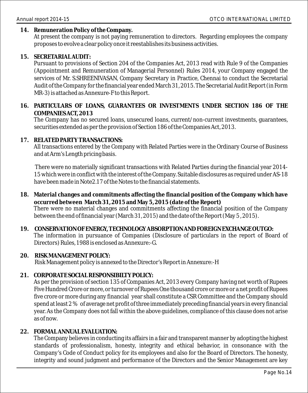### **14. Remuneration Policy of the Company.**

At present the company is not paying remuneration to directors. Regarding employees the company proposes to evolve a clear policy once it reestablishes its business activities.

**15. SECRETARIAL AUDIT:**

Pursuant to provisions of Section 204 of the Companies Act, 2013 read with Rule 9 of the Companies (Appointment and Remuneration of Managerial Personnel) Rules 2014, your Company engaged the services of Mr. S.SHREENIVASAN, Company Secretary in Practice, Chennai to conduct the Secretarial Audit of the Company for the financial year ended March 31, 2015. The Secretarial Audit Report (in Form MR-3) is attached as Annexure-F to this Report.

**16. PARTICULARS OF LOANS, GUARANTEES OR INVESTMENTS UNDER SECTION 186 OF THE COMPANIES ACT, 2013** 

The Company has no secured loans, unsecured loans, current/non-current investments, guarantees, securities extended as per the provision of Section 186 of the Companies Act, 2013.

**17. RELATED PARTY TRANSACTIONS:**

All transactions entered by the Company with Related Parties were in the Ordinary Course of Business and at Arm's Length pricing basis.

There were no materially significant transactions with Related Parties during the financial year 2014- 15 which were in conflict with the interest of the Company. Suitable disclosures as required under AS-18 have been made in Note2.17 of the Notes to the financial statements.

- **18. Material changes and commitments affecting the financial position of the Company which have occurred between March 31, 2015 and May 5, 2015 (date of the Report)**  There were no material changes and commitments affecting the financial position of the Company between the end of financial year (March 31, 2015) and the date of the Report (May 5 , 2015).
- **19. CONSERVATION OF ENERGY, TECHNOLOGY ABSORPTION AND FOREIGN EXCHANGE OUTGO:** The information in pursuance of Companies (Disclosure of particulars in the report of Board of Directors) Rules, 1988 is enclosed as Annexure:-G.

#### **20. RISK MANAGEMENT POLICY:** Risk Management policy is annexed to the Director's Report in Annexure:-H

**21. CORPORATE SOCIAL RESPONSIBILTY POLICY:**

As per the provision of section 135 of Companies Act, 2013 every Company having net worth of Rupees Five Hundred Crore or more, or turnover of Rupees One thousand crore or more or a net profit of Rupees five crore or more during any financial year shall constitute a CSR Committee and the Company should spend at least 2 % of average net profit of three immediately preceding financial years in every financial year. As the Company does not fall within the above guidelines, compliance of this clause does not arise as of now.

### **22. FORMAL ANNUAL EVALUATION:**

The Company believes in conducting its affairs in a fair and transparent manner by adopting the highest standards of professionalism, honesty, integrity and ethical behavior, in consonance with the Company's Code of Conduct policy for its employees and also for the Board of Directors. The honesty, integrity and sound judgment and performance of the Directors and the Senior Management are key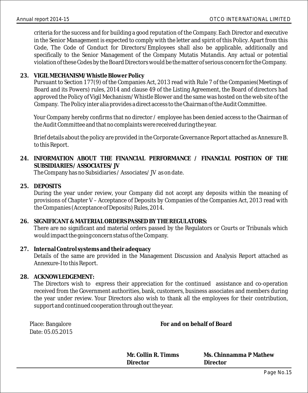criteria for the success and for building a good reputation of the Company. Each Director and executive in the Senior Management is expected to comply with the letter and spirit of this Policy. Apart from this Code, The Code of Conduct for Directors/Employees shall also be applicable, additionally and specifically to the Senior Management of the Company Mutatis Mutandis. Any actual or potential violation of these Codes by the Board Directors would be the matter of serious concern for the Company.

**23. VIGIL MECHANISM/Whistle Blower Policy**

Pursuant to Section 177(9) of the Companies Act, 2013 read with Rule 7 of the Companies(Meetings of Board and its Powers) rules, 2014 and clause 49 of the Listing Agreement, the Board of directors had approved the Policy of Vigil Mechanism/Whistle Blower and the same was hosted on the web site of the Company. The Policy inter alia provides a direct access to the Chairman of the Audit Committee.

Your Company hereby confirms that no director / employee has been denied access to the Chairman of the Audit Committee and that no complaints were received during the year.

Brief details about the policy are provided in the Corporate Governance Report attached as Annexure B. to this Report.

- **24. INFORMATION ABOUT THE FINANCIAL PERFORMANCE / FINANCIAL POSITION OF THE SUBSIDIARIES / ASSOCIATES/ JV** The Company has no Subsidiaries / Associates/ JV as on date.
- **25. DEPOSITS**

During the year under review, your Company did not accept any deposits within the meaning of provisions of Chapter V – Acceptance of Deposits by Companies of the Companies Act, 2013 read with the Companies (Acceptance of Deposits) Rules, 2014.

- **26. SIGNIFICANT & MATERIAL ORDERS PASSED BY THE REGULATORS:**  There are no significant and material orders passed by the Regulators or Courts or Tribunals which would impact the going concern status of the Company.
- **27. Internal Control systems and their adequacy**  Details of the same are provided in the Management Discussion and Analysis Report attached as Annexure-I to this Report.
- **28. ACKNOWLEDGEMENT:**

The Directors wish to express their appreciation for the continued assistance and co-operation received from the Government authorities, bank, customers, business associates and members during the year under review. Your Directors also wish to thank all the employees for their contribution, support and continued cooperation through out the year.

| Place: Bangalore |
|------------------|
| Date: 05.05.2015 |

 **For and on behalf of Board** 

| Mr. Collin R. Timms | Ms. Chinnamma P Mathew |
|---------------------|------------------------|
| Director            | Director               |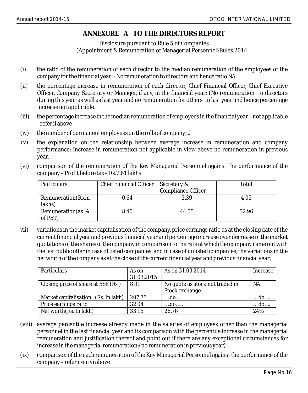### **ANNEXURE A TO THE DIRECTORS REPORT**

Disclosure pursuant to Rule 5 of Companies (Appointment & Remuneration of Managerial Personnel)Rules,2014.

- (i) the ratio of the remuneration of each director to the median remuneration of the employees of the company for the financial year; - No remuneration to directors and hence ratio NA
- (ii) the percentage increase in remuneration of each director, Chief Financial Officer, Chief Executive Officer, Company Secretary or Manager, if any, in the financial year; (No remuneration to directors during this year as well as last year and no remuneration for others in last year and hence percentage increase not applicable.
- (iii) the percentage increase in the median remuneration of employees in the financial year not applicable –refer ii above
- (iv) the number of permanent employees on the rolls of company; 2
- (v) the explanation on the relationship between average increase in remuneration and company performance; Increase in remuneration not applicable in view above no remuneration in previous year.
- (vi) comparison of the remuneration of the Key Managerial Personnel against the performance of the company – Profit before tax – Rs.7.61 lakhs

| <b>Particulars</b>             | Chief Financial Officer   Secretary & |                           | Total |
|--------------------------------|---------------------------------------|---------------------------|-------|
|                                |                                       | <b>Compliance Officer</b> |       |
| Remuneration (Rs.in<br>lakhs)  | 0.64                                  | 3.39                      | 4.03  |
| Remuneration (as $%$<br>of PBT | 8.40                                  | 44.55                     | 52.96 |

vii) variations in the market capitalisation of the company, price earnings ratio as at the closing date of the current financial year and previous financial year and percentage increase over decrease in the market quotations of the shares of the company in comparison to the rate at which the company came out with the last public offer in case of listed companies, and in case of unlisted companies, the variations in the net worth of the company as at the close of the current financial year and previous financial year;

| Particulars                         | As on      | As on 31.03.2014                | Increase  |
|-------------------------------------|------------|---------------------------------|-----------|
|                                     | 31.03.2015 |                                 |           |
| Closing price of share at BSE (Rs)  | 8.01       | No quote as stock not traded in | <b>NA</b> |
|                                     |            | Stock exchange                  |           |
| Market capitalisation (Rs. In lakh) | 207.75     | do                              | do        |
| Price earnings ratio                | 32.04      | do                              | do        |
| Net worth (Rs. In lakh)             | 33.15      | 26.76                           | 24%       |

- (viii) average percentile increase already made in the salaries of employees other than the managerial personnel in the last financial year and its comparison with the percentile increase in the managerial remuneration and justification thereof and point out if there are any exceptional circumstances for increase in the managerial remuneration;(no remuneration in previous year)
- (ix) comparison of the each remuneration of the Key Managerial Personnel against the performance of the company – refer item vi above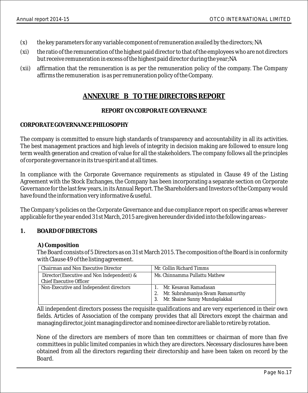- (x) the key parameters for any variable component of remuneration availed by the directors; NA
- (xi) the ratio of the remuneration of the highest paid director to that of the employees who are not directors but receive remuneration in excess of the highest paid director during the year;NA
- (xii) affirmation that the remuneration is as per the remuneration policy of the company. The Company affirms the remuneration is as per remuneration policy of the Company.

### **ANNEXURE B TO THE DIRECTORS REPORT**

### **REPORT ON CORPORATE GOVERNANCE**

### **CORPORATE GOVERNANCE PHILOSOPHY**

The company is committed to ensure high standards of transparency and accountability in all its activities. The best management practices and high levels of integrity in decision making are followed to ensure long term wealth generation and creation of value for all the stakeholders. The company follows all the principles of corporate governance in its true spirit and at all times.

In compliance with the Corporate Governance requirements as stipulated in Clause 49 of the Listing Agreement with the Stock Exchanges, the Company has been incorporating a separate section on Corporate Governance for the last few years, in its Annual Report. The Shareholders and Investors of the Company would have found the information very informative & useful.

The Company's policies on the Corporate Governance and due compliance report on specific areas wherever applicable for the year ended 31st March, 2015 are given hereunder divided into the following areas:-

### **1. BOARD OF DIRECTORS**

#### **A) Composition**

The Board consists of 5 Directors as on 31st March 2015. The composition of the Board is in conformity with Clause 49 of the listing agreement.

| Chairman and Non Executive Director                                          | Mr. Collin Richard Timms                                                                                   |
|------------------------------------------------------------------------------|------------------------------------------------------------------------------------------------------------|
| Director (Executive and Non Independent) &<br><b>Chief Executive Officer</b> | Ms. Chinnamma Pullattu Mathew                                                                              |
| Non-Executive and Independent directors                                      | Mr. Kesavan Ramadasan<br>Mr. Subrahmaniya Sivam Ramamurthy<br>2.<br>Mr. Shaine Sunny Mundaplakkal<br>$-3.$ |

All independent directors possess the requisite qualifications and are very experienced in their own fields. Articles of Association of the company provides that all Directors except the chairman and managing director, joint managing director and nominee director are liable to retire by rotation.

None of the directors are members of more than ten committees or chairman of more than five committees in public limited companies in which they are directors. Necessary disclosures have been obtained from all the directors regarding their directorship and have been taken on record by the Board.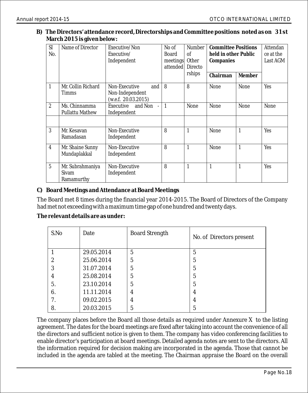**B) The Directors' attendance record, Directorships and Committee positions noted as on 31st March 2015 is given below:**

| <b>SI</b><br>No. | Name of Director                        | Executive/Non<br>Executive/<br>Independent                     | No of<br><b>Board</b><br>meetings<br>attended | <b>Number</b><br>of<br><b>Other</b><br>Directo<br>rships | <b>Committee Positions</b><br>held in other Public<br>Companies<br>Chairman | Member | Attendan<br>ce at the<br>Last AGM |
|------------------|-----------------------------------------|----------------------------------------------------------------|-----------------------------------------------|----------------------------------------------------------|-----------------------------------------------------------------------------|--------|-----------------------------------|
| $\mathbf{1}$     | Mr. Collin Richard<br><b>Timms</b>      | Non-Executive<br>and<br>Non-Independent<br>(w.e.f. 20.03.2015) | 8                                             | 8                                                        | None                                                                        | None   | <b>Yes</b>                        |
| $\overline{2}$   | Ms. Chinnamma<br><b>Pullattu Mathew</b> | Executive and Non<br>$\sim 10^{-1}$<br>Independent             | $\overline{1}$                                | None                                                     | None                                                                        | None   | None                              |
| 3                | Mr. Kesavan<br>Ramadasan                | Non-Executive<br>Independent                                   | 8                                             | $\mathbf{1}$                                             | None                                                                        | 1      | <b>Yes</b>                        |
| $\overline{4}$   | Mr. Shaine Sunny<br>Mundaplakkal        | Non-Executive<br>Independent                                   | 8                                             | $\mathbf{1}$                                             | None                                                                        | 1      | Yes                               |
| $\overline{5}$   | Mr. Subrahmaniya<br>Sivam<br>Ramamurthy | Non-Executive<br>Independent                                   | 8                                             | $\mathbf{1}$                                             | 1                                                                           | 1      | <b>Yes</b>                        |

**C) Board Meetings and Attendance at Board Meetings**

The Board met 8 times during the financial year 2014-2015. The Board of Directors of the Company had met not exceeding with a maximum time gap of one hundred and twenty days.

**The relevant details are as under:**

| S.No | Date       | <b>Board Strength</b> | No. of Directors present |
|------|------------|-----------------------|--------------------------|
|      | 29.05.2014 | 5                     | 5                        |
| 2    | 25.06.2014 | 5                     | 5                        |
| 3    | 31.07.2014 | 5                     | 5                        |
| 4    | 25.08.2014 | 5                     | 5                        |
| 5.   | 23.10.2014 | 5                     | 5                        |
| 6.   | 11.11.2014 | 4                     | 4                        |
| 7.   | 09.02.2015 | 4                     | 4                        |
| 8.   | 20.03.2015 | 5                     | 5                        |

The company places before the Board all those details as required under Annexure X to the listing agreement. The dates for the board meetings are fixed after taking into account the convenience of all the directors and sufficient notice is given to them. The company has video conferencing facilities to enable director's participation at board meetings. Detailed agenda notes are sent to the directors. All the information required for decision making are incorporated in the agenda. Those that cannot be included in the agenda are tabled at the meeting. The Chairman appraise the Board on the overall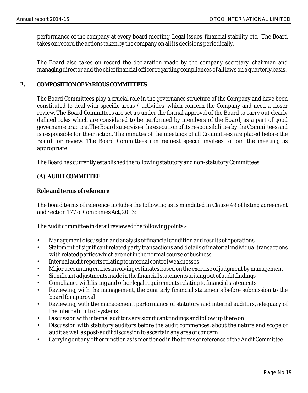performance of the company at every board meeting. Legal issues, financial stability etc. The Board takes on record the actions taken by the company on all its decisions periodically.

The Board also takes on record the declaration made by the company secretary, chairman and managing director and the chief financial officer regarding compliances of all laws on a quarterly basis.

### **2. COMPOSITION OF VARIOUS COMMITTEES**

The Board Committees play a crucial role in the governance structure of the Company and have been constituted to deal with specific areas / activities, which concern the Company and need a closer review. The Board Committees are set up under the formal approval of the Board to carry out clearly defined roles which are considered to be performed by members of the Board, as a part of good governance practice. The Board supervises the execution of its responsibilities by the Committees and is responsible for their action. The minutes of the meetings of all Committees are placed before the Board for review. The Board Committees can request special invitees to join the meeting, as appropriate.

The Board has currently established the following statutory and non-statutory Committees

### **(A) AUDIT COMMITTEE**

### **Role and terms of reference**

The board terms of reference includes the following as is mandated in Clause 49 of listing agreement and Section 177 of Companies Act, 2013:

The Audit committee in detail reviewed the following points:-

- Management discussion and analysis of financial condition and results of operations
- Statement of significant related party transactions and details of material individual transactions with related parties which are not in the normal course of business
- Internal audit reports relating to internal control weaknesses
- Major accounting entries involving estimates based on the exercise of judgment by management
- Significant adjustments made in the financial statements arising out of audit findings
- Compliance with listing and other legal requirements relating to financial statements
- Reviewing, with the management, the quarterly financial statements before submission to the board for approval
- Reviewing, with the management, performance of statutory and internal auditors, adequacy of the internal control systems
- Discussion with internal auditors any significant findings and follow up there on
- Discussion with statutory auditors before the audit commences, about the nature and scope of audit as well as post-audit discussion to ascertain any area of concern
- Carrying out any other function as is mentioned in the terms of reference of the Audit Committee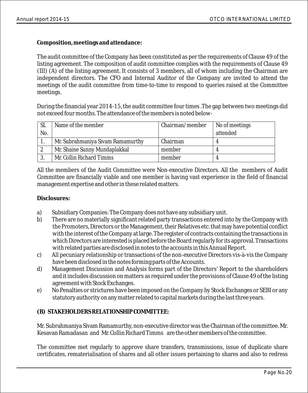**Composition, meetings and attendance:**

The audit committee of the Company has been constituted as per the requirements of Clause 49 of the listing agreement. The composition of audit committee complies with the requirements of Clause 49 (III) (A) of the listing agreement. It consists of 3 members, all of whom including the Chairman are independent directors. The CFO and Internal Auditor of the Company are invited to attend the meetings of the audit committee from time-to-time to respond to queries raised at the Committee meetings.

During the financial year 2014-15, the audit committee four times .The gap between two meetings did not exceed four months. The attendance of the members is noted below-

| - SL | Name of the member                | Chairman/member | No of meetings |
|------|-----------------------------------|-----------------|----------------|
| No.  |                                   |                 | attended       |
|      | Mr. Subrahmaniya Sivam Ramamurthy | Chairman        |                |
|      | Mr. Shaine Sunny Mundaplakkal     | member          |                |
|      | Mr. Collin Richard Timms          | member          |                |

All the members of the Audit Committee were Non-executive Directors. All the members of Audit Committee are financially viable and one member is having vast experience in the field of financial management expertise and other in these related matters.

**Disclosures:**

- a) Subsidiary Companies: The Company does not have any subsidiary unit.
- b) There are no materially significant related party transactions entered into by the Company with the Promoters, Directors or the Management, their Relatives etc. that may have potential conflict with the interest of the Company at large. The register of contracts containing the transactions in which Directors are interested is placed before the Board regularly for its approval. Transactions with related parties are disclosed in notes to the accounts in this Annual Report.
- c) All pecuniary relationship or transactions of the non-executive Directors vis-à-vis the Company have been disclosed in the notes forming parts of the Accounts.
- d) Management Discussion and Analysis forms part of the Directors' Report to the shareholders and it includes discussion on matters as required under the provisions of Clause 49 of the listing agreement with Stock Exchanges.
- e) No Penalties or strictures have been imposed on the Company by Stock Exchanges or SEBI or any statutory authority on any matter related to capital markets during the last three years.

### **(B) STAKEHOLDERS RELATIONSHIP COMMITTEE:**

Mr. Subrahmaniya Sivam Ramamurthy, non-executive director was the Chairman of the committee. Mr. Kesavan Ramadasan and Mr. Collin Richard Timms are the other members of the committee.

The committee met regularly to approve share transfers, transmissions, issue of duplicate share certificates, rematerialisation of shares and all other issues pertaining to shares and also to redress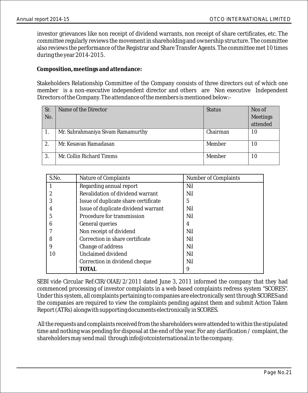investor grievances like non receipt of dividend warrants, non receipt of share certificates, etc. The committee regularly reviews the movement in shareholding and ownership structure. The committee also reviews the performance of the Registrar and Share Transfer Agents. The committee met 10 times during the year 2014-2015.

**Composition, meetings and attendance:**

Stakeholders Relationship Committee of the Company consists of three directors out of which one member is a non-executive independent director and others are Non executive Independent Directors of the Company. The attendance of the members is mentioned below:-

| Sr.<br>No. | Name of the Director              | <b>Status</b> | Nos of<br>Meetings |
|------------|-----------------------------------|---------------|--------------------|
|            |                                   |               | attended           |
|            | Mr. Subrahmaniya Sivam Ramamurthy | Chairman      | 10                 |
| 2.         | Mr. Kesavan Ramadasan             | Member        | 10                 |
| 3.         | Mr. Collin Richard Timms          | Member        | 10                 |

| S.No. | Nature of Complaints                 | <b>Number of Complaints</b> |
|-------|--------------------------------------|-----------------------------|
|       | Regarding annual report              | Nil                         |
| 2     | Revalidation of dividend warrant     | Nil                         |
| 3     | Issue of duplicate share certificate | 5                           |
|       | Issue of duplicate dividend warrant  | Nil                         |
| 5     | Procedure for transmission           | Nil                         |
| 6     | General queries                      | 4                           |
|       | Non receipt of dividend              | Nil                         |
| 8     | Correction in share certificate      | Nil                         |
| 9     | Change of address                    | Nil                         |
| 10    | Unclaimed dividend                   | Nil                         |
|       | Correction in dividend cheque        | Nil                         |
|       | TOTAL                                | 9                           |

SEBI vide Circular Ref:CIR/OIAE/2/2011 dated June 3, 2011 informed the company that they had commenced processing of investor complaints in a web based complaints redress system "SCORES". Under this system, all complaints pertaining to companies are electronically sent through SCORES and the companies are required to view the complaints pending against them and submit Action Taken Report (ATRs) alongwith supporting documents electronically in SCORES.

All the requests and complaints received from the shareholders were attended to within the stipulated time and nothing was pending for disposal at the end of the year. For any clarification / complaint, the shareholders may send mail through info@otcointernational.in to the company.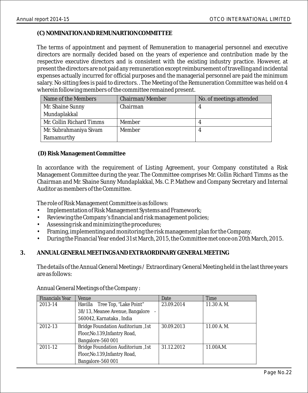### **(C) NOMINATION AND REMUNARTION COMMITTEE**

The terms of appointment and payment of Remuneration to managerial personnel and executive directors are normally decided based on the years of experience and contribution made by the respective executive directors and is consistent with the existing industry practice. However, at present the directors are not paid any remuneration except reimbursement of travelling and incidental expenses actually incurred for official purposes and the managerial personnel are paid the minimum salary. No sitting fees is paid to directors. . The Meeting of the Remuneration Committee was held on 4 wherein following members of the committee remained present.

| Name of the Members      | Chairman/Member | No. of meetings attended |
|--------------------------|-----------------|--------------------------|
| Mr. Shaine Sunny         | Chairman        |                          |
| Mundaplakkal             |                 |                          |
| Mr. Collin Richard Timms | Member          |                          |
| Mr. Subrahmaniya Sivam   | Member          |                          |
| Ramamurthy               |                 |                          |

#### **(D) Risk Management Committee**

In accordance with the requirement of Listing Agreement, your Company constituted a Risk Management Committee during the year. The Committee comprises Mr. Collin Richard Timms as the Chairman and Mr. Shaine Sunny Mundaplakkal, Ms. C. P. Mathew and Company Secretary and Internal Auditor as members of the Committee.

The role of Risk Management Committee is as follows:

- Implementation of Risk Management Systems and Framework;
- Reviewing the Company's financial and risk management policies;
- Assessing risk and minimizing the procedures;
- Framing, implementing and monitoring the risk management plan for the Company.
- During the Financial Year ended 31st March, 2015, the Committee met once on 20th March, 2015.

### **3. ANNUAL GENERAL MEETINGS AND EXTRAORDINARY GENERAL MEETING**

The details of the Annual General Meetings / Extraordinary General Meeting held in the last three years are as follows:

| Venue                                    | Date       | Time       |
|------------------------------------------|------------|------------|
| Havilla Tree Top, "Lake Point"           | 23.09.2014 | 11.30 A.M. |
| 38/13, Meanee Avenue, Bangalore          |            |            |
| 560042, Karnataka, India                 |            |            |
| <b>Bridge Foundation Auditorium, 1st</b> | 30.09.2013 | 11.00 A.M. |
| Floor, No. 139, Infantry Road,           |            |            |
| Bangalore-560 001                        |            |            |
| <b>Bridge Foundation Auditorium, 1st</b> | 31.12.2012 | 11.00A.M.  |
| Floor, No. 139, Infantry Road,           |            |            |
| Bangalore-560 001                        |            |            |
|                                          |            |            |

Annual General Meetings of the Company :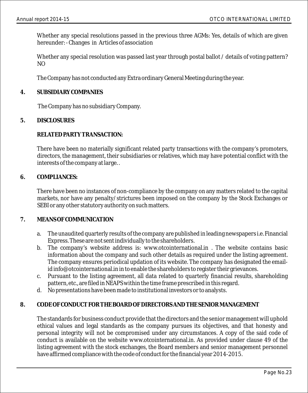Whether any special resolutions passed in the previous three AGMs: Yes, details of which are given hereunder: - Changes in Articles of association

Whether any special resolution was passed last year through postal ballot / details of voting pattern? NO

The Company has not conducted any Extra ordinary General Meeting during the year.

#### **4. SUBSIDIARY COMPANIES**

The Company has no subsidiary Company.

### **5. DISCLOSURES**

#### **RELATED PARTY TRANSACTION:**

There have been no materially significant related party transactions with the company's promoters, directors, the management, their subsidiaries or relatives, which may have potential conflict with the interests of the company at large. .

#### **6. COMPLIANCES:**

There have been no instances of non-compliance by the company on any matters related to the capital markets, nor have any penalty/strictures been imposed on the company by the Stock Exchanges or SEBI or any other statutory authority on such matters.

#### **7. MEANS OF COMMUNICATION**

- a. The unaudited quarterly results of the company are published in leading newspapers i.e. Financial Express. These are not sent individually to the shareholders.
- b. The company's website address is: www.otcointernational.in . The website contains basic information about the company and such other details as required under the listing agreement. The company ensures periodical updation of its website. The company has designated the emailid info@otcointernational.in in to enable the shareholders to register their grievances.
- c. Pursuant to the listing agreement, all data related to quarterly financial results, shareholding pattern, etc., are filed in NEAPS within the time frame prescribed in this regard.
- d. No presentations have been made to institutional investors or to analysts.

### **8. CODE OF CONDUCT FOR THE BOARD OF DIRECTORS AND THE SENIOR MANAGEMENT**

The standards for business conduct provide that the directors and the senior management will uphold ethical values and legal standards as the company pursues its objectives, and that honesty and personal integrity will not be compromised under any circumstances. A copy of the said code of conduct is available on the website www.otcointernational.in. As provided under clause 49 of the listing agreement with the stock exchanges, the Board members and senior management personnel have affirmed compliance with the code of conduct for the financial year 2014-2015.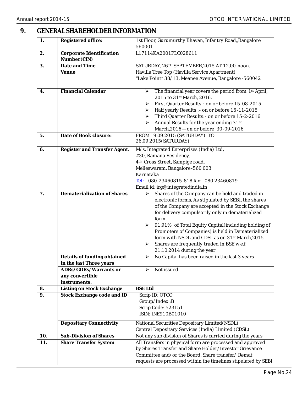### **9. GENERAL SHAREHOLDER INFORMATION**

| 1.       | Registered office:                                      | 1st Floor, Gurumurthy Bhavan, Infantry Road,, Bangalore<br>560001                                            |  |
|----------|---------------------------------------------------------|--------------------------------------------------------------------------------------------------------------|--|
| 2.       | Corporate Identification                                | L17114KA2001PLC028611                                                                                        |  |
|          | Number(CIN)                                             |                                                                                                              |  |
| 3.       | Date and Time                                           | SATURDAY, 26TH SEPTEMBER, 2015 AT 12.00 noon.                                                                |  |
|          | Venue                                                   | Havilla Tree Top (Havilla Service Apartment)                                                                 |  |
|          |                                                         | "Lake Point" 38/13, Meanee Avenue, Bangalore -560042                                                         |  |
|          |                                                         |                                                                                                              |  |
| 4.       | <b>Financial Calendar</b>                               | The financial year covers the period from 1 <sup>st</sup> April,<br>⋗                                        |  |
|          |                                                         | 2015 to 31st March, 2016.                                                                                    |  |
|          |                                                         | First Quarter Results : -on or before 15-08-2015<br>⋗<br>Half yearly Results :- on or before 15-11-2015<br>➤ |  |
|          |                                                         | Third Quarter Results: - on or before 15-2-2016<br>➤                                                         |  |
|          |                                                         | Annual Results for the year ending 31 <sup>st</sup><br>➤                                                     |  |
|          |                                                         | March, 2016-on or before 30-09-2016                                                                          |  |
| 5.       | Date of Book closure:                                   | FROM 19.09.2015 (SATURDAY) TO                                                                                |  |
|          |                                                         | 26.09.2015 (SATURDAY)                                                                                        |  |
| 6.       | Register and Transfer Agent.                            | M/s. Integrated Enterprises (India) Ltd,                                                                     |  |
|          |                                                         | #30, Ramana Residency,                                                                                       |  |
|          |                                                         | 4 <sup>th</sup> Cross Street, Sampige road,                                                                  |  |
|          |                                                         | Melleswaram, Bangalore - 560 003                                                                             |  |
|          |                                                         | Karnataka                                                                                                    |  |
|          |                                                         | Tel:- 080-23460815-818, fax:- 080 23460819                                                                   |  |
|          |                                                         | Email id: irg@integratedindia.in                                                                             |  |
| 7.       | Dematerialization of Shares                             | Shares of the Company can be held and traded in<br>⋗                                                         |  |
|          |                                                         | electronic forms, As stipulated by SEBI, the shares<br>of the Company are accepted in the Stock Exchange     |  |
|          |                                                         | for delivery compulsorily only in dematerialized                                                             |  |
|          |                                                         | form.                                                                                                        |  |
|          |                                                         | 91.91% of Total Equity Capital (including holding of<br>➤                                                    |  |
|          |                                                         | Promoters of Companies) is held in Dematerialized                                                            |  |
|          |                                                         | form with NSDL and CDSL as on 31st March, 2015                                                               |  |
|          |                                                         | Shares are frequently traded in BSE w.e.f<br>≻                                                               |  |
|          |                                                         | 21.10.2014 during the year                                                                                   |  |
|          | Details of funding obtained                             | No Capital has been raised in the last 3 years<br>➤                                                          |  |
|          | in the last Three years                                 |                                                                                                              |  |
|          | ADRs/GDRs/Warrants or                                   | Not issued<br>➤                                                                                              |  |
|          | any convertible                                         |                                                                                                              |  |
|          | instruments.                                            |                                                                                                              |  |
| 8.<br>9. | Listing on Stock Exchange<br>Stock Exchange code and ID | <b>BSE</b> Ltd                                                                                               |  |
|          |                                                         | Scrip ID: OTCO<br>Group/Index: B                                                                             |  |
|          |                                                         | Scrip Code: 523151                                                                                           |  |
|          |                                                         | ISIN: INE910B01010                                                                                           |  |
|          | <b>Depositary Connectivity</b>                          | National Securities Depositary Limited (NSDL)                                                                |  |
|          |                                                         | Central Depositary Services (India) Limited (CDSL)                                                           |  |
| 10.      | Sub-Division of Shares                                  | Not any sub division of Shares is carried during the years                                                   |  |
| 11.      | <b>Share Transfer System</b>                            | All Transfers in physical form are processed and approved                                                    |  |
|          |                                                         | by Shares Transfer and Share Holder/Investor Grievance                                                       |  |
|          |                                                         | Committee and/or the Board. Share transfer/Remat                                                             |  |
|          |                                                         | requests are processed within the timelines stipulated by SEBI                                               |  |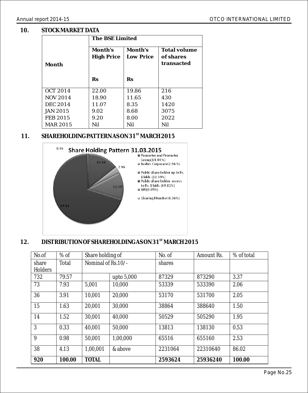### **10. STOCK MARKET DATA**

|                 | The BSE Limited   |           |              |  |
|-----------------|-------------------|-----------|--------------|--|
|                 | Month's           | Month's   | Total volume |  |
|                 | <b>High Price</b> | Low Price | of shares    |  |
| Month           |                   |           | transacted   |  |
|                 |                   |           |              |  |
|                 | Rs                | Rs        |              |  |
|                 |                   |           |              |  |
| <b>OCT 2014</b> | 22.00             | 19.86     | 216          |  |
| <b>NOV 2014</b> | 18.90             | 11.65     | 430          |  |
| <b>DEC 2014</b> | 11.07             | 8.35      | 1420         |  |
| <b>JAN 2015</b> | 9.02              | 8.68      | 3075         |  |
| FEB 2015        | 9.20              | 8.00      | 2022         |  |
| <b>MAR 2015</b> | Nil               | Nil       | Nil          |  |

### 11. SHAREHOLDING PATTERN AS ON 31<sup>ST</sup> MARCH 2015



### 12. DISTRIBUTION OF SHAREHOLDING AS ON 31<sup>st</sup> MARCH 2015

| No.of   | $%$ of | Share holding of   |            | No. of  | Amount Rs. | $%$ of total |
|---------|--------|--------------------|------------|---------|------------|--------------|
| share   | Total  | Nominal of Rs.10/- |            | shares  |            |              |
| Holders |        |                    |            |         |            |              |
| 732     | 79.57  |                    | upto 5,000 | 87329   | 873290     | 3.37         |
| 73      | 7.93   | 5,001              | 10,000     | 53339   | 533390     | 2.06         |
| 36      | 3.91   | 10,001             | 20,000     | 53170   | 531700     | 2.05         |
| 15      | 1.63   | 20,001             | 30,000     | 38864   | 388640     | 1.50         |
| 14      | 1.52   | 30,001             | 40,000     | 50529   | 505290     | 1.95         |
| 3       | 0.33   | 40,001             | 50,000     | 13813   | 138130     | 0.53         |
| 9       | 0.98   | 50,001             | 1.00.000   | 65516   | 655160     | 2.53         |
| 38      | 4.13   | 1,00,001           | & above    | 2231064 | 22310640   | 86.02        |
| 920     | 100.00 | <b>TOTAL</b>       |            | 2593624 | 25936240   | 100.00       |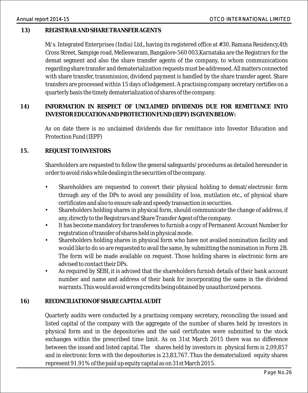### **13) REGISTRAR AND SHARE TRANSFER AGENTS**

M/s. Integrated Enterprises (India) Ltd,, having its registered office at #30, Ramana Residency,4th Cross Street, Sampige road, Melleswaram, Bangalore-560 003,Karnataka are the Registrars for the demat segment and also the share transfer agents of the company, to whom communications regarding share transfer and dematerialization requests must be addressed. All matters connected with share transfer, transmission, dividend payment is handled by the share transfer agent. Share transfers are processed within 15 days of lodgement. A practising company secretary certifies on a quarterly basis the timely dematerialization of shares of the company.

**14) INFORMATION IN RESPECT OF UNCLAIMED DIVIDENDS DUE FOR REMITTANCE INTO INVESTOR EDUCATION AND PROTECTION FUND (IEPF) IS GIVEN BELOW:**

As on date there is no unclaimed dividends due for remittance into Investor Education and Protection Fund (IEPF)

### **15. REQUEST TO INVESTORS**

Shareholders are requested to follow the general safeguards/procedures as detailed hereunder in order to avoid risks while dealing in the securities of the company.

- Shareholders are requested to convert their physical holding to demat/electronic form through any of the DPs to avoid any possibility of loss, mutilation etc., of physical share certificates and also to ensure safe and speedy transaction in securities.
- Shareholders holding shares in physical form, should communicate the change of address, if any, directly to the Registrars and Share Transfer Agent of the company.
- It has become mandatory for transferees to furnish a copy of Permanent Account Number for registration of transfer of shares held in physical mode.
- Shareholders holding shares in physical form who have not availed nomination facility and would like to do so are requested to avail the same, by submitting the nomination in Form 2B. The form will be made available on request. Those holding shares in electronic form are advised to contact their DPs.
- As required by SEBI, it is advised that the shareholders furnish details of their bank account number and name and address of their bank for incorporating the same in the dividend warrants. This would avoid wrong credits being obtained by unauthorized persons.

### **16) RECONCILIATION OF SHARE CAPITAL AUDIT**

Quarterly audits were conducted by a practising company secretary, reconciling the issued and listed capital of the company with the aggregate of the number of shares held by investors in physical form and in the depositories and the said certificates were submitted to the stock exchanges within the prescribed time limit. As on 31st March 2015 there was no difference between the issued and listed capital. The shares held by investors in physical form is 2,09,857 and in electronic form with the depositories is 23,83,767. Thus the dematerialized equity shares represent 91.91% of the paid up equity capital as on 31st March 2015.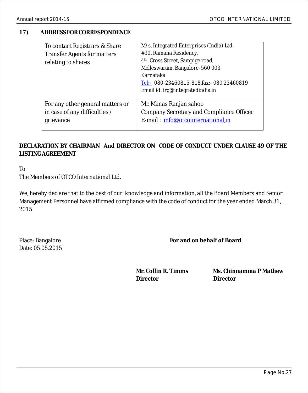### **17) ADDRESS FOR CORRESPONDENCE**

| To contact Registrars & Share      | M/s. Integrated Enterprises (India) Ltd,       |
|------------------------------------|------------------------------------------------|
| <b>Transfer Agents for matters</b> | #30, Ramana Residency,                         |
| relating to shares                 | 4 <sup>th</sup> Cross Street, Sampige road,    |
|                                    | Melleswaram, Bangalore - 560 003               |
|                                    | Karnataka                                      |
|                                    | Tel: $-$ 080-23460815-818, fax: - 080 23460819 |
|                                    | Email id: irg@integratedindia.in               |
|                                    |                                                |
| For any other general matters or   | Mr. Manas Ranjan sahoo                         |
| in case of any difficulties /      | Company Secretary and Compliance Officer       |
| grievance                          | E-mail: info@otcointernational,in              |
|                                    |                                                |

### **DECLARATION BY CHAIRMAN And DIRECTOR ON CODE OF CONDUCT UNDER CLAUSE 49 OF THE LISTING AGREEMENT**

To

The Members of OTCO International Ltd.

We, hereby declare that to the best of our knowledge and information, all the Board Members and Senior Management Personnel have affirmed compliance with the code of conduct for the year ended March 31, 2015.

Place: Bangalore Date: 05.05.2015  **For and on behalf of Board** 

**Director Director**

**Mr. Collin R. Timms Ms. Chinnamma P Mathew**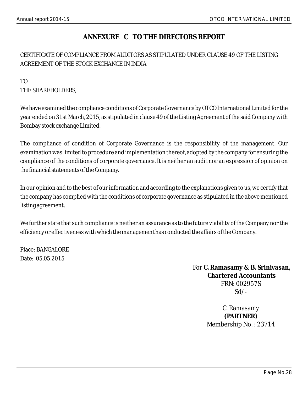### **ANNEXURE C TO THE DIRECTORS REPORT**

### CERTIFICATE OF COMPLIANCE FROM AUDITORS AS STIPULATED UNDER CLAUSE 49 OF THE LISTING AGREEMENT OF THE STOCK EXCHANGE IN INDIA

### TO THE SHAREHOLDERS,

We have examined the compliance conditions of Corporate Governance by OTCO International Limited for the year ended on 31st March, 2015, as stipulated in clause 49 of the Listing Agreement of the said Company with Bombay stock exchange Limited.

The compliance of condition of Corporate Governance is the responsibility of the management. Our examination was limited to procedure and implementation thereof, adopted by the company for ensuring the compliance of the conditions of corporate governance. It is neither an audit nor an expression of opinion on the financial statements of the Company.

In our opinion and to the best of our information and according to the explanations given to us, we certify that the company has complied with the conditions of corporate governance as stipulated in the above mentioned listing agreement.

We further state that such compliance is neither an assurance as to the future viability of the Company nor the efficiency or effectiveness with which the management has conducted the affairs of the Company.

Place: BANGALORE Date: 05.05.2015

> For **C. Ramasamy & B. Srinivasan, Chartered Accountants** FRN: 002957S Sd/-

> > C. Ramasamy **(PARTNER)** Membership No. : 23714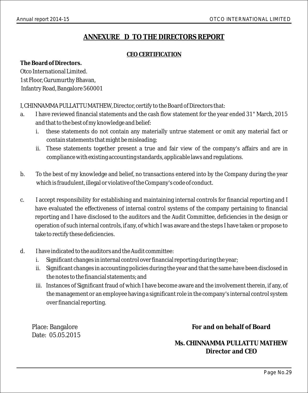### **ANNEXURE D TO THE DIRECTORS REPORT**

### **CEO CERTIFICATION**

**The Board of Directors.**  Otco International Limited. 1st Floor, Gurumurthy Bhavan, Infantry Road, Bangalore 560001

I, CHINNAMMA PULLATTU MATHEW, Director, certify to the Board of Directors that:

- a. I have reviewed financial statements and the cash flow statement for the year ended 31" March, 2015 and that to the best of my knowledge and belief:
	- i. these statements do not contain any materially untrue statement or omit any material fact or contain statements that might be misleading;
	- ii. These statements together present a true and fair view of the company's affairs and are in compliance with existing accounting standards, applicable laws and regulations.
- b. To the best of my knowledge and belief, no transactions entered into by the Company during the year which is fraudulent, illegal or violative of the Company's code of conduct.
- c. I accept responsibility for establishing and maintaining internal controls for financial reporting and I have evaluated the effectiveness of internal control systems of the company pertaining to financial reporting and I have disclosed to the auditors and the Audit Committee, deficiencies in the design or operation of such internal controls, if any, of which I was aware and the steps I have taken or propose to take to rectify these deficiencies.
- d. I have indicated to the auditors and the Audit committee:
	- i. Significant changes in internal control over financial reporting during the year;
	- ii. Significant changes in accounting policies during the year and that the same have been disclosed in the notes to the financial statements; and
	- iii. Instances of Significant fraud of which I have become aware and the involvement therein, if any, of the management or an employee having a significant role in the company's internal control system over financial reporting.

Place: Bangalore Date: 05.05.2015 **For and on behalf of Board**

**Ms. CHINNAMMA PULLATTU MATHEW Director and CEO**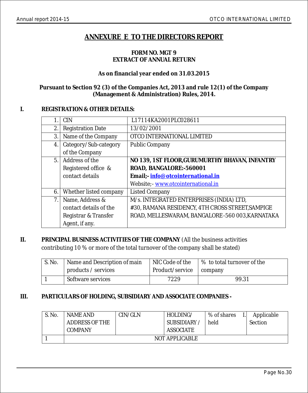### **ANNEXURE E TO THE DIRECTORS REPORT**

#### **FORM NO. MGT 9 EXTRACT OF ANNUAL RETURN**

### **As on financial year ended on 31.03.2015**

### **Pursuant to Section 92 (3) of the Companies Act, 2013 and rule 12(1) of the Company (Management & Administration) Rules, 2014.**

### **I. REGISTRATION & OTHER DETAILS:**

|                | <b>CIN</b>               | L17114KA2001PLC028611                            |
|----------------|--------------------------|--------------------------------------------------|
| 2.             | <b>Registration Date</b> | 13/02/2001                                       |
| 3.             | Name of the Company      | OTCO INTERNATIONAL LIMITED                       |
| 4.             | Category/Sub-category    | <b>Public Company</b>                            |
|                | of the Company           |                                                  |
| 5 <sub>1</sub> | Address of the           | NO 139, 1ST FLOOR, GURUMURTHY BHAVAN, INFANTRY   |
|                | Registered office &      | ROAD, BANGALORE:-560001                          |
|                | contact details          | Email;- info@otcointernational.in                |
|                |                          | Website; - www.otcointernational.in              |
| 6.             | Whether listed company   | <b>Listed Company</b>                            |
| 7.             | Name, Address &          | M/s. INTEGRATED ENTERPRISES (INDIA) LTD,         |
|                | contact details of the   | #30, RAMANA RESIDENCY, 4TH CROSS STREET, SAMPIGE |
|                | Registrar & Transfer     | ROAD, MELLESWARAM, BANGALORE -560 003, KARNATAKA |
|                | Agent, if any.           |                                                  |

### **II. PRINCIPAL BUSINESS ACTIVITIES OF THE COMPANY** (All the business activities contributing 10 % or more of the total turnover of the company shall be stated)

| S. No. | Name and Description of main | NIC Code of the           | │% to total turnover of the |
|--------|------------------------------|---------------------------|-----------------------------|
|        | products / services          | Product/service   company |                             |
|        | Software services            | 7229                      | 99.31                       |

### **III. PARTICULARS OF HOLDING, SUBSIDIARY AND ASSOCIATE COMPANIES -**

| S. No. | NAME AND              | CIN/GLN | HOLDING/          | % of shares | Applicable     |
|--------|-----------------------|---------|-------------------|-------------|----------------|
|        | <b>ADDRESS OF THE</b> |         | <b>SUBSIDIARY</b> | held        | <b>Section</b> |
|        | <b>COMPANY</b>        |         | ASSOCIATE         |             |                |
|        |                       |         | NOT APPLICABLE    |             |                |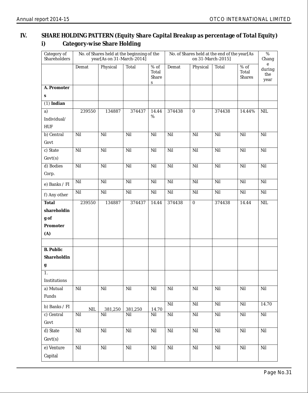### **IV. SHARE HOLDING PATTERN (Equity Share Capital Breakup as percentage of Total Equity) i) Category-wise Share Holding**

| Category of<br>Shareholders |        | year[As on 31-March-2014] | No. of Shares held at the beginning of the |                               | No. of Shares held at the end of the year[As<br>on 31-March-2015] |                  |        |                                  | %<br>Chang                 |
|-----------------------------|--------|---------------------------|--------------------------------------------|-------------------------------|-------------------------------------------------------------------|------------------|--------|----------------------------------|----------------------------|
|                             | Demat  | Physical                  | Total                                      | $%$ of<br>Total<br>Share<br>s | Demat                                                             | Physical         | Total  | $%$ of<br>Total<br><b>Shares</b> | e<br>during<br>the<br>year |
| A. Promoter                 |        |                           |                                            |                               |                                                                   |                  |        |                                  |                            |
| s                           |        |                           |                                            |                               |                                                                   |                  |        |                                  |                            |
| $(1)$ Indian                |        |                           |                                            |                               |                                                                   |                  |        |                                  |                            |
| a)                          | 239550 | 134887                    | 374437                                     | 14.44                         | 374438                                                            | $\bf{0}$         | 374438 | 14.44%                           | NIL                        |
| Individual/                 |        |                           |                                            | %                             |                                                                   |                  |        |                                  |                            |
| HUF                         |        |                           |                                            |                               |                                                                   |                  |        |                                  |                            |
| b) Central                  | Nil    | Nil                       | Nil                                        | Nil                           | Nil                                                               | Nil              | Nil    | Nil                              | Nil                        |
| Govt                        |        |                           |                                            |                               |                                                                   |                  |        |                                  |                            |
| c) State                    | Nil    | Nil                       | Nil                                        | Nil                           | Nil                                                               | Nil              | Nil    | Nil                              | Nil                        |
| Govt(s)                     |        |                           |                                            |                               |                                                                   |                  |        |                                  |                            |
| d) Bodies                   | Nil    | Nil                       | Nil                                        | Nil                           | Nil                                                               | Nil              | Nil    | Nil                              | Nil                        |
| Corp.                       |        |                           |                                            |                               |                                                                   |                  |        |                                  |                            |
| e) Banks / FI               | Nil    | Nil                       | Nil                                        | Nil                           | Nil                                                               | Nil              | Nil    | Nil                              | Nil                        |
| f) Any other                | Nil    | Nil                       | Nil                                        | Nil                           | Nil                                                               | Nil              | Nil    | Nil                              | Nil                        |
| Total                       | 239550 | 134887                    | 374437                                     | 14.44                         | 374438                                                            | $\boldsymbol{0}$ | 374438 | 14.44                            | $\rm NIL$                  |
| shareholdin                 |        |                           |                                            |                               |                                                                   |                  |        |                                  |                            |
| $\mathbf g$ of              |        |                           |                                            |                               |                                                                   |                  |        |                                  |                            |
| Promoter                    |        |                           |                                            |                               |                                                                   |                  |        |                                  |                            |
| (A)                         |        |                           |                                            |                               |                                                                   |                  |        |                                  |                            |
|                             |        |                           |                                            |                               |                                                                   |                  |        |                                  |                            |
| <b>B.</b> Public            |        |                           |                                            |                               |                                                                   |                  |        |                                  |                            |
| Shareholdin                 |        |                           |                                            |                               |                                                                   |                  |        |                                  |                            |
| g                           |        |                           |                                            |                               |                                                                   |                  |        |                                  |                            |
| 1.                          |        |                           |                                            |                               |                                                                   |                  |        |                                  |                            |
| Institutions                |        |                           |                                            |                               |                                                                   |                  |        |                                  |                            |
| a) Mutual                   | Nil    | Nil                       | Nil                                        | Nil                           | Nil                                                               | Nil              | Nil    | Nil                              | $\rm Nil$                  |
| Funds                       |        |                           |                                            |                               |                                                                   |                  |        |                                  |                            |
| b) Banks / FI               | NIL    | 381,250                   | 381,250                                    | 14.70                         | Nil                                                               | Nil              | Nil    | Nil                              | 14.70                      |
| c) Central                  | Nil    | $\rm Nil$                 | Nil                                        | Nil                           | Nil                                                               | Nil              | Nil    | Nil                              | Nil                        |
| Govt                        |        |                           |                                            |                               |                                                                   |                  |        |                                  |                            |
| d) State                    | Nil    | Nil                       | Nil                                        | Nil                           | Nil                                                               | Nil              | Nil    | Nil                              | Nil                        |
| Govt(s)                     |        |                           |                                            |                               |                                                                   |                  |        |                                  |                            |
| e) Venture                  | Nil    | Nil                       | Nil                                        | Nil                           | Nil                                                               | Nil              | Nil    | Nil                              | Nil                        |
| Capital                     |        |                           |                                            |                               |                                                                   |                  |        |                                  |                            |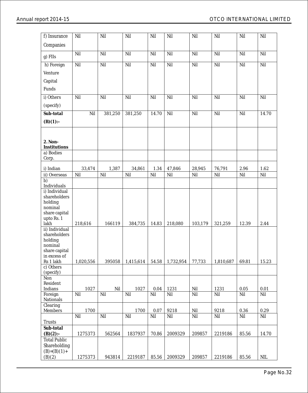| f) Insurance                  | Nil       | Nil     | Nil       | Nil   | Nil       | Nil     | Nil       | Nil   | Nil          |
|-------------------------------|-----------|---------|-----------|-------|-----------|---------|-----------|-------|--------------|
| Companies                     |           |         |           |       |           |         |           |       |              |
|                               |           |         |           |       |           |         |           |       |              |
| g) FIIs                       | Nil       | Nil     | Nil       | Nil   | Nil       | Nil     | Nil       | Nil   | Nil          |
| h) Foreign                    | Nil       | Nil     | Nil       | Nil   | Nil       | Nil     | Nil       | Nil   | Nil          |
| Venture                       |           |         |           |       |           |         |           |       |              |
|                               |           |         |           |       |           |         |           |       |              |
| Capital                       |           |         |           |       |           |         |           |       |              |
| Funds                         |           |         |           |       |           |         |           |       |              |
| i) Others                     | Nil       | Nil     | Nil       | Nil   | Nil       | Nil     | Nil       | Nil   | Nil          |
| (specify)                     |           |         |           |       |           |         |           |       |              |
| Sub-total                     | Nil       | 381,250 | 381,250   | 14.70 | Nil       | Nil     | Nil       | Nil   | 14.70        |
|                               |           |         |           |       |           |         |           |       |              |
| $(B)(1)$ :-                   |           |         |           |       |           |         |           |       |              |
|                               |           |         |           |       |           |         |           |       |              |
|                               |           |         |           |       |           |         |           |       |              |
| 2. Non-<br>Institutions       |           |         |           |       |           |         |           |       |              |
| a) Bodies                     |           |         |           |       |           |         |           |       |              |
| Corp.                         |           |         |           |       |           |         |           |       |              |
| i) Indian                     | 33,474    | 1,387   | 34,861    | 1.34  | 47,846    | 28,945  | 76,791    | 2.96  | 1.62         |
| ii) Overseas                  | Nil       | Nil     | Nil       | Nil   | Nil       | Nil     | Nil       | Nil   | Nil          |
| b)                            |           |         |           |       |           |         |           |       |              |
| Individuals                   |           |         |           |       |           |         |           |       |              |
| i) Individual                 |           |         |           |       |           |         |           |       |              |
| shareholders<br>holding       |           |         |           |       |           |         |           |       |              |
| nominal                       |           |         |           |       |           |         |           |       |              |
| share capital                 |           |         |           |       |           |         |           |       |              |
| upto Rs. 1                    |           |         |           |       |           |         |           |       |              |
| lakh<br>ii) Individual        | 218,616   | 166119  | 384,735   | 14.83 | 218,080   | 103,179 | 321,259   | 12.39 | 2.44         |
| shareholders                  |           |         |           |       |           |         |           |       |              |
| holding                       |           |         |           |       |           |         |           |       |              |
| nominal                       |           |         |           |       |           |         |           |       |              |
| share capital<br>in excess of |           |         |           |       |           |         |           |       |              |
| Rs 1 lakh                     | 1,020,556 | 395058  | 1,415,614 | 54.58 | 1,732,954 | 77,733  | 1,810,687 | 69.81 | 15.23        |
| c) Others                     |           |         |           |       |           |         |           |       |              |
| (specify)                     |           |         |           |       |           |         |           |       |              |
| Non<br>Resident               |           |         |           |       |           |         |           |       |              |
| Indians                       | 1027      | Nil     | 1027      | 0.04  | 1231      | Nil     | 1231      | 0.05  | 0.01         |
| Foreign                       | Nil       | Nil     | Nil       | Nil   | Nil       | Nil     | Nil       | Nil   | Nil          |
| Nationals                     |           |         |           |       |           |         |           |       |              |
| Clearing<br>Members           | 1700      |         | 1700      | 0.07  | 9218      | Nil     | 9218      | 0.36  | $\rm 0.29$   |
|                               | Nil       | Nil     | Nil       | Nil   | Nil       | Nil     | Nil       | Nil   | Nil          |
| <b>Trusts</b>                 |           |         |           |       |           |         |           |       |              |
| Sub-total                     |           |         |           |       |           |         |           |       |              |
| $(B)(2)$ :-                   | 1275373   | 562564  | 1837937   | 70.86 | 2009329   | 209857  | 2219186   | 85.56 | 14.70        |
| <b>Total Public</b>           |           |         |           |       |           |         |           |       |              |
| Shareholding                  |           |         |           |       |           |         |           |       |              |
| $(B)=(B)(1)+$<br>(B)(2)       | 1275373   | 943814  | 2219187   | 85.56 | 2009329   | 209857  | 2219186   | 85.56 | $\mbox{NIL}$ |
|                               |           |         |           |       |           |         |           |       |              |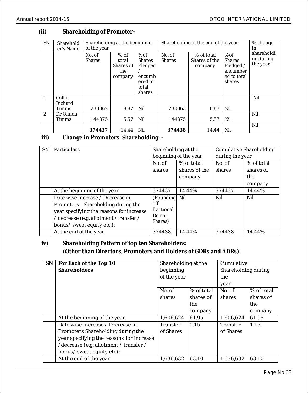### **(ii) Shareholding of Promoter-**

| SN           | Sharehold<br>er's Name            | Shareholding at the beginning<br>of the year |                                                 |                                                                         | Shareholding at the end of the year |                                        |                                                                        | % change<br>in                      |
|--------------|-----------------------------------|----------------------------------------------|-------------------------------------------------|-------------------------------------------------------------------------|-------------------------------------|----------------------------------------|------------------------------------------------------------------------|-------------------------------------|
|              |                                   | No. of<br><b>Shares</b>                      | $%$ of<br>total<br>Shares of<br>the.<br>company | %of<br><b>Shares</b><br>Pledged<br>encumb<br>ered to<br>total<br>shares | No. of<br><b>Shares</b>             | % of total<br>Shares of the<br>company | %of<br><b>Shares</b><br>Pledged /<br>encumber<br>ed to total<br>shares | shareholdi<br>ng during<br>the year |
| $\mathbf{1}$ | Collin<br>Richard<br><b>Timms</b> | 230062                                       | 8.87                                            | Nil                                                                     | 230063                              | 8.87                                   | Nil                                                                    | Nil                                 |
| $\mathbf{2}$ | Dr Olinda<br><b>Timms</b>         | 144375                                       | 5.57                                            | Nil                                                                     | 144375                              | 5.57                                   | Nil                                                                    | Nil                                 |
|              |                                   | 374437                                       | 14.44                                           | Nil                                                                     | 374438                              | 14.44                                  | Nil                                                                    | Nil                                 |

**iii) Change in Promoters' Shareholding: -** 

| <b>SN</b> | <b>Particulars</b>                       | Shareholding at the |                       |        | <b>Cumulative Shareholding</b> |
|-----------|------------------------------------------|---------------------|-----------------------|--------|--------------------------------|
|           |                                          |                     | beginning of the year |        | during the year                |
|           |                                          | No. of              | % of total            | No. of | % of total                     |
|           |                                          | shares              | shares of the         | shares | shares of                      |
|           |                                          |                     | company               |        | the                            |
|           |                                          |                     |                       |        | company                        |
|           | At the beginning of the year             | 374437              | 14.44%                | 374437 | 14.44%                         |
|           | Date wise Increase / Decrease in         | (Rounding Nil       |                       | Nil    | Nil                            |
|           | Promoters Shareholding during the        | off                 |                       |        |                                |
|           | year specifying the reasons for increase | fractional          |                       |        |                                |
|           | / decrease (e.g. allotment /transfer /   | Demat<br>Shares)    |                       |        |                                |
|           | bonus/ sweat equity etc.):               |                     |                       |        |                                |
|           | At the end of the year                   | 374438              | 14.44%                | 374438 | 14.44%                         |

 **iv) Shareholding Pattern of top ten Shareholders: (Other than Directors, Promoters and Holders of GDRs and ADRs):**

| <b>SN</b> | For Each of the Top 10                   | Shareholding at the |            | Cumulative          |            |
|-----------|------------------------------------------|---------------------|------------|---------------------|------------|
|           | Shareholders                             | beginning           |            | Shareholding during |            |
|           |                                          | of the year         |            | the                 |            |
|           |                                          |                     |            | year                |            |
|           |                                          | No. of              | % of total | No. of              | % of total |
|           |                                          | shares              | shares of  | shares              | shares of  |
|           |                                          |                     | the        |                     | the        |
|           |                                          |                     | company    |                     | company    |
|           | At the beginning of the year             | 1,606,624           | 61.95      | 1.606.624           | 61.95      |
|           | Date wise Increase / Decrease in         | <b>Transfer</b>     | 1.15       | <b>Transfer</b>     | 1.15       |
|           | Promoters Shareholding during the        | of Shares           |            | of Shares           |            |
|           | year specifying the reasons for increase |                     |            |                     |            |
|           | /decrease (e.g. allotment / transfer /   |                     |            |                     |            |
|           | bonus/ sweat equity etc):                |                     |            |                     |            |
|           | At the end of the year                   | 1,636,632           | 63.10      | 1,636,632           | 63.10      |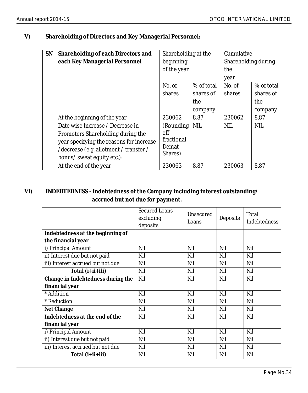**V) Shareholding of Directors and Key Managerial Personnel:**

| SN | Shareholding of each Directors and       | Shareholding at the |            | Cumulative          |            |
|----|------------------------------------------|---------------------|------------|---------------------|------------|
|    | each Key Managerial Personnel            | beginning           |            | Shareholding during |            |
|    |                                          | of the year         |            | the                 |            |
|    |                                          |                     |            | year                |            |
|    |                                          | No. of              | % of total | No. of              | % of total |
|    |                                          | shares              | shares of  | shares              | shares of  |
|    |                                          |                     | the        |                     | the        |
|    |                                          |                     | company    |                     | company    |
|    | At the beginning of the year             | 230062              | 8.87       | 230062              | 8.87       |
|    | Date wise Increase / Decrease in         | (Rounding           | <b>NIL</b> | <b>NIL</b>          | <b>NIL</b> |
|    | Promoters Shareholding during the        | off                 |            |                     |            |
|    | year specifying the reasons for increase | fractional          |            |                     |            |
|    | /decrease (e.g. allotment / transfer /   | Demat               |            |                     |            |
|    | bonus/ sweat equity etc.):               | Shares)             |            |                     |            |
|    | At the end of the year                   | 230063              | 8.87       | 230063              | 8.87       |

### **VI) INDEBTEDNESS - Indebtedness of the Company including interest outstanding/ accrued but not due for payment.**

|                                   | <b>Secured Loans</b><br>excluding<br>deposits | Unsecured<br>Loans | Deposits | Total<br><b>Indebtedness</b> |
|-----------------------------------|-----------------------------------------------|--------------------|----------|------------------------------|
| Indebtedness at the beginning of  |                                               |                    |          |                              |
| the financial year                |                                               |                    |          |                              |
| i) Principal Amount               | Nil                                           | Nil                | Nil      | Nil                          |
| ii) Interest due but not paid     | Nil                                           | Nil                | Nil      | Nil                          |
| iii) Interest accrued but not due | Nil                                           | Nil                | Nil      | Nil                          |
| Total (i+ii+iii)                  | Nil                                           | Nil                | Nil      | Nil                          |
| Change in Indebtedness during the | Nil                                           | Nil                | Nil      | Nil                          |
| financial year                    |                                               |                    |          |                              |
| * Addition                        | Nil                                           | Nil                | Nil      | Nil                          |
| * Reduction                       | Nil                                           | Nil                | Nil      | Nil                          |
| Net Change                        | Nil                                           | Nil                | Nil      | Nil                          |
| Indebtedness at the end of the    | Nil                                           | Nil                | Nil      | Nil                          |
| financial year                    |                                               |                    |          |                              |
| i) Principal Amount               | Nil                                           | Nil                | Nil      | Nil                          |
| ii) Interest due but not paid     | Nil                                           | Nil                | Nil      | Nil                          |
| iii) Interest accrued but not due | Nil                                           | Nil                | Nil      | Nil                          |
| Total (i+ii+iii)                  | Nil                                           | Nil                | Nil      | Nil                          |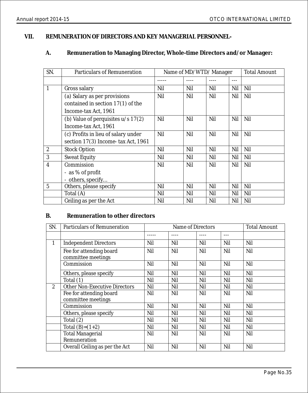### **VII. REMUNERATION OF DIRECTORS AND KEY MANAGERIAL PERSONNEL-**

### **A. Remuneration to Managing Director, Whole-time Directors and/or Manager:**

| SN.            | <b>Particulars of Remuneration</b>   | Name of MD/WTD/Manager |     |     |         | <b>Total Amount</b> |
|----------------|--------------------------------------|------------------------|-----|-----|---------|---------------------|
|                |                                      |                        |     |     | $- - -$ |                     |
| 1              | Gross salary                         | Nil                    | Nil | Nil | Nil     | Nil                 |
|                | (a) Salary as per provisions         | Nil                    | Nil | Nil | Nil     | Nil                 |
|                | contained in section $17(1)$ of the  |                        |     |     |         |                     |
|                | Income-tax Act, 1961                 |                        |     |     |         |                     |
|                | (b) Value of perquisites $u/s$ 17(2) | Nil                    | Nil | Nil | Nil     | Nil                 |
|                | Income-tax Act, 1961                 |                        |     |     |         |                     |
|                | (c) Profits in lieu of salary under  | Nil                    | Nil | Nil | Nil     | Nil                 |
|                | section 17(3) Income-tax Act, 1961   |                        |     |     |         |                     |
| $\overline{2}$ | <b>Stock Option</b>                  | Nil                    | Nil | Nil | Nil     | Nil                 |
| 3              | <b>Sweat Equity</b>                  | Nil                    | Nil | Nil | Nil     | Nil                 |
| $\overline{4}$ | Commission                           | Nil                    | Nil | Nil | Nil     | Nil                 |
|                | - as % of profit                     |                        |     |     |         |                     |
|                | - others, specify                    |                        |     |     |         |                     |
| 5              | Others, please specify               | Nil                    | Nil | Nil | Nil     | Nil                 |
|                | Total (A)                            | Nil                    | Nil | Nil | Nil     | Nil                 |
|                | Ceiling as per the Act               | Nil                    | Nil | Nil | Nil     | Nil                 |

### **B. Remuneration to other directors**

| SN.          | <b>Particulars of Remuneration</b>            |     | Name of Directors |     | <b>Total Amount</b> |     |
|--------------|-----------------------------------------------|-----|-------------------|-----|---------------------|-----|
|              |                                               |     |                   |     | ---                 |     |
| $\mathbf{1}$ | <b>Independent Directors</b>                  | Nil | Nil               | Nil | Nil                 | Nil |
|              | Fee for attending board<br>committee meetings | Nil | Nil               | Nil | Nil                 | Nil |
|              | Commission                                    | Nil | Nil               | Nil | Nil                 | Nil |
|              | Others, please specify                        | Nil | Nil               | Nil | Nil                 | Nil |
|              | Total $(1)$                                   | Nil | Nil               | Nil | Nil                 | Nil |
| $\mathbf{2}$ | <b>Other Non-Executive Directors</b>          | Nil | Nil               | Nil | Nil                 | Nil |
|              | Fee for attending board<br>committee meetings | Nil | Nil               | Nil | Nil                 | Nil |
|              | Commission                                    | Nil | Nil               | Nil | Nil                 | Nil |
|              | Others, please specify                        | Nil | Nil               | Nil | Nil                 | Nil |
|              | Total (2)                                     | Nil | Nil               | Nil | Nil                 | Nil |
|              | Total $(B)=(1+2)$                             | Nil | Nil               | Nil | Nil                 | Nil |
|              | <b>Total Managerial</b><br>Remuneration       | Nil | Nil               | Nil | Nil                 | Nil |
|              | Overall Ceiling as per the Act                | Nil | Nil               | Nil | Nil                 | Nil |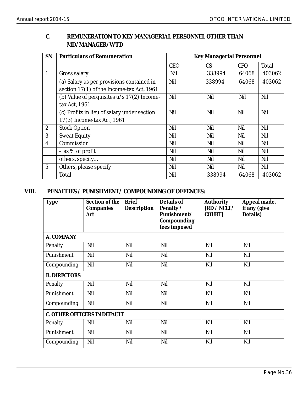### **C. REMUNERATION TO KEY MANAGERIAL PERSONNEL OTHER THAN MD/MANAGER/WTD**

| <b>SN</b>      | Particulars of Remuneration                  | Key Managerial Personnel |        |            |        |  |
|----------------|----------------------------------------------|--------------------------|--------|------------|--------|--|
|                |                                              | <b>CEO</b>               | CS.    | <b>CFO</b> | Total  |  |
| $\mathbf{1}$   | Gross salary                                 | Nil                      | 338994 | 64068      | 403062 |  |
|                | (a) Salary as per provisions contained in    | Nil                      | 338994 | 64068      | 403062 |  |
|                | section 17(1) of the Income-tax Act, 1961    |                          |        |            |        |  |
|                | (b) Value of perquisites $u/s$ 17(2) Income- | Nil                      | Nil    | Nil        | Nil    |  |
|                | tax Act, 1961                                |                          |        |            |        |  |
|                | (c) Profits in lieu of salary under section  | Nil                      | Nil    | Nil        | Nil    |  |
|                | 17(3) Income-tax Act, 1961                   |                          |        |            |        |  |
| $\mathbf{2}$   | <b>Stock Option</b>                          | Nil                      | Nil    | Nil        | Nil    |  |
| 3              | <b>Sweat Equity</b>                          | Nil                      | Nil    | Nil        | Nil    |  |
| $\overline{4}$ | Commission                                   | Nil                      | Nil    | Nil        | Nil    |  |
|                | - as % of profit                             | Nil                      | Nil    | Nil        | Nil    |  |
|                | others, specify                              | Nil                      | Nil    | Nil        | Nil    |  |
| $\overline{5}$ | Others, please specify                       | Nil                      | Nil    | Nil        | Nil    |  |
|                | Total                                        | Nil                      | 338994 | 64068      | 403062 |  |

### **VIII. PENALTIES / PUNISHMENT/ COMPOUNDING OF OFFENCES:**

| <b>Type</b>         | Section of the<br>Companies<br>Act | <b>Brief</b><br>Description | Details of<br>Penalty /<br>Punishment/<br>Compounding<br>fees imposed | Authority<br>[RD / NCLT /<br>COURT] | Appeal made,<br>if any (give<br>Details) |
|---------------------|------------------------------------|-----------------------------|-----------------------------------------------------------------------|-------------------------------------|------------------------------------------|
| A. COMPANY          |                                    |                             |                                                                       |                                     |                                          |
| Penalty             | Nil                                | Nil                         | Nil                                                                   | Nil                                 | Nil                                      |
| Punishment          | Nil                                | Nil                         | Nil                                                                   | Nil                                 | Nil                                      |
| Compounding         | Nil                                | Nil                         | Nil                                                                   | Nil                                 | Nil                                      |
| <b>B. DIRECTORS</b> |                                    |                             |                                                                       |                                     |                                          |
| Penalty             | Nil                                | Nil                         | Nil                                                                   | Nil                                 | Nil                                      |
| Punishment          | Nil                                | Nil                         | Nil                                                                   | Nil                                 | Nil                                      |
| Compounding         | Nil                                | Nil                         | Nil                                                                   | Nil                                 | Nil                                      |
|                     | C. OTHER OFFICERS IN DEFAULT       |                             |                                                                       |                                     |                                          |
| Penalty             | Nil                                | Nil                         | Nil                                                                   | Nil                                 | Nil                                      |
| Punishment          | Nil                                | Nil                         | Nil                                                                   | Nil                                 | Nil                                      |
| Compounding         | Nil                                | Nil                         | Nil                                                                   | Nil                                 | Nil                                      |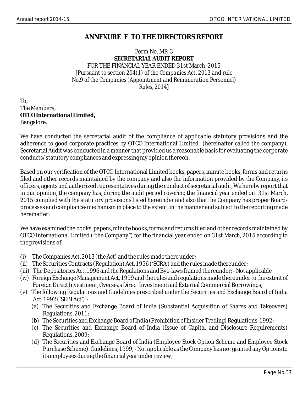### **ANNEXURE F TO THE DIRECTORS REPORT**

### Form No. MR-3 **SECRETARIAL AUDIT REPORT** FOR THE FINANCIAL YEAR ENDED 31st March, 2015 *[Pursuant to section 204(1) of the Companies Act, 2013 and rule No.9 of the Companies (Appointment and Remuneration Personnel) Rules, 2014]*

To, The Members, **OTCO International Limited,** Bangalore.

We have conducted the secretarial audit of the compliance of applicable statutory provisions and the adherence to good corporate practices by OTCO International Limited (hereinafter called the company). Secretarial Audit was conducted in a manner that provided us a reasonable basis for evaluating the corporate conducts/statutory compliances and expressing my opinion thereon.

Based on our verification of the OTCO International Limited books, papers, minute books, forms and returns filed and other records maintained by the company and also the information provided by the Company, its officers, agents and authorized representatives during the conduct of secretarial audit, We hereby report that in our opinion, the company has, during the audit period covering the financial year ended on 31st March, 2015 complied with the statutory provisions listed hereunder and also that the Company has proper Boardprocesses and compliance-mechanism in place to the extent, in the manner and subject to the reporting made hereinafter:

We have examined the books, papers, minute books, forms and returns filed and other records maintained by OTCO International Limited ("the Company") for the financial year ended on 31st March, 2015 according to the provisions of:

- (i) The Companies Act, 2013 (the Act) and the rules made there under;
- (ii) The Securities Contracts (Regulation) Act, 1956 ('SCRA') and the rules made thereunder;
- (iii) The Depositories Act, 1996 and the Regulations and Bye-laws framed thereunder; Not applicable
- (iv) Foreign Exchange Management Act, 1999 and the rules and regulations made thereunder to the extent of Foreign Direct Investment, Overseas Direct Investment and External Commercial Borrowings;
- (v) The following Regulations and Guidelines prescribed under the Securities and Exchange Board of India Act, 1992 ('SEBI Act'):-
	- (a) The Securities and Exchange Board of India (Substantial Acquisition of Shares and Takeovers) Regulations, 2011;
	- (b) The Securities and Exchange Board of India (Prohibition of Insider Trading) Regulations, 1992;
	- (c) The Securities and Exchange Board of India (Issue of Capital and Disclosure Requirements) Regulations, 2009;
	- (d) The Securities and Exchange Board of India (Employee Stock Option Scheme and Employee Stock Purchase Scheme) Guidelines, 1999; - Not applicable as the Company has not granted any Options to its employees during the financial year under review;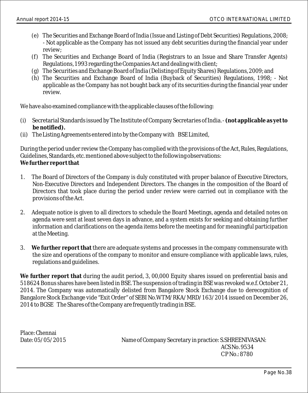- (e) The Securities and Exchange Board of India (Issue and Listing of Debt Securities) Regulations, 2008; - Not applicable as the Company has not issued any debt securities during the financial year under review;
- (f) The Securities and Exchange Board of India (Registrars to an Issue and Share Transfer Agents) Regulations, 1993 regarding the Companies Act and dealing with client;
- (g) The Securities and Exchange Board of India (Delisting of Equity Shares) Regulations, 2009; and
- (h) The Securities and Exchange Board of India (Buyback of Securities) Regulations, 1998; Not applicable as the Company has not bought back any of its securities during the financial year under review.

We have also examined compliance with the applicable clauses of the following:

- (i) Secretarial Standards issued by The Institute of Company Secretaries of India. **(not applicable as yet to be notified).**
- (ii) The Listing Agreements entered into by the Company with BSE Limited,

During the period under review the Company has complied with the provisions of the Act, Rules, Regulations, Guidelines, Standards, etc. mentioned above subject to the following observations: **We further report that**

- 1. The Board of Directors of the Company is duly constituted with proper balance of Executive Directors, Non-Executive Directors and Independent Directors. The changes in the composition of the Board of Directors that took place during the period under review were carried out in compliance with the provisions of the Act.
- 2. Adequate notice is given to all directors to schedule the Board Meetings, agenda and detailed notes on agenda were sent at least seven days in advance, and a system exists for seeking and obtaining further information and clarifications on the agenda items before the meeting and for meaningful participation at the Meeting.
- 3. **We further report that** there are adequate systems and processes in the company commensurate with the size and operations of the company to monitor and ensure compliance with applicable laws, rules, regulations and guidelines.

**We further report that** during the audit period, 3, 00,000 Equity shares issued on preferential basis and 518624 Bonus shares have been listed in BSE. The suspension of trading in BSE was revoked w.e.f. October 21, 2014. The Company was automatically delisted from Bangalore Stock Exchange due to derecognition of Bangalore Stock Exchange vide "Exit Order" of SEBI No.WTM/RKA/MRD/163/2014 issued on December 26, 2014 to BGSE The Shares of the Company are frequently trading in BSE.

Place: Chennai

Date: 05/05/2015 Name of Company Secretary in practice: S.SHREENIVASAN: ACS No. 9534 C P No.: 8780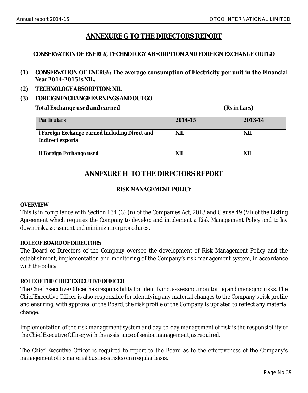### **ANNEXURE G TO THE DIRECTORS REPORT**

### **CONSERVATION OF ENERGY, TECHNOLOGY ABSORPTION AND FOREIGN EXCHANGE OUTGO**

- **(1) CONSERVATION OF ENERGY: The average consumption of Electricity per unit in the Financial Year 2014-2015 is NIL.**
- **(2) TECHNOLOGY ABSORPTION: NIL**
- **(3) FOREIGN EXCHANGE EARNINGS AND OUTGO:**

**Total Exchange used and earned (Rs in Lacs)**

| Particulars                                                        | 2014-15    | 2013-14    |
|--------------------------------------------------------------------|------------|------------|
| i Foreign Exchange earned including Direct and<br>Indirect exports | NIL.       | <b>NIL</b> |
| ii Foreign Exchange used                                           | <b>NIL</b> | NIL.       |

### **ANNEXURE H TO THE DIRECTORS REPORT**

### **RISK MANAGEMENT POLICY**

### *OVERVIEW*

This is in compliance with Section 134 (3) (n) of the Companies Act, 2013 and Clause 49 (VI) of the Listing Agreement which requires the Company to develop and implement a Risk Management Policy and to lay down risk assessment and minimization procedures.

### *ROLE OF BOARD OF DIRECTORS*

The Board of Directors of the Company oversee the development of Risk Management Policy and the establishment, implementation and monitoring of the Company's risk management system, in accordance with the policy.

### *ROLE OF THE CHIEF EXECUTIVE OFFICER*

The Chief Executive Officer has responsibility for identifying, assessing, monitoring and managing risks. The Chief Executive Officer is also responsible for identifying any material changes to the Company's risk profile and ensuring, with approval of the Board, the risk profile of the Company is updated to reflect any material change.

Implementation of the risk management system and day-to-day management of risk is the responsibility of the Chief Executive Officer, with the assistance of senior management, as required.

The Chief Executive Officer is required to report to the Board as to the effectiveness of the Company's management of its material business risks on a regular basis.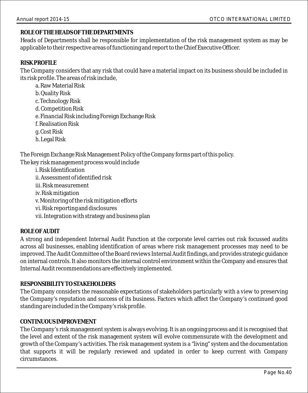### *ROLE OF THE HEADS OF THE DEPARTMENTS*

Heads of Departments shall be responsible for implementation of the risk management system as may be applicable to their respective areas of functioning and report to the Chief Executive Officer.

### *RISK PROFILE*

The Company considers that any risk that could have a material impact on its business should be included in its risk profile. The areas of risk include,

a. Raw Material Risk b. Quality Risk c. Technology Risk d. Competition Risk e. Financial Risk including Foreign Exchange Risk f. Realisation Risk g. Cost Risk h. Legal Risk

The Foreign Exchange Risk Management Policy of the Company forms part of this policy. The key risk management process would include

i. Risk Identification ii. Assessment of identified risk iii. Risk measurement iv. Risk mitigation v. Monitoring of the risk mitigation efforts vi. Risk reporting and disclosures vii. Integration with strategy and business plan

### *ROLE OF AUDIT*

A strong and independent Internal Audit Function at the corporate level carries out risk focussed audits across all businesses, enabling identification of areas where risk management processes may need to be improved. The Audit Committee of the Board reviews Internal Audit findings, and provides strategic guidance on internal controls. It also monitors the internal control environment within the Company and ensures that Internal Audit recommendations are effectively implemented.

### *RESPONSIBILITY TO STAKEHOLDERS*

The Company considers the reasonable expectations of stakeholders particularly with a view to preserving the Company's reputation and success of its business. Factors which affect the Company's continued good standing are included in the Company's risk profile.

### *CONTINUOUS IMPROVEMENT*

The Company's risk management system is always evolving. It is an ongoing process and it is recognised that the level and extent of the risk management system will evolve commensurate with the development and growth of the Company's activities. The risk management system is a "living" system and the documentation that supports it will be regularly reviewed and updated in order to keep current with Company circumstances.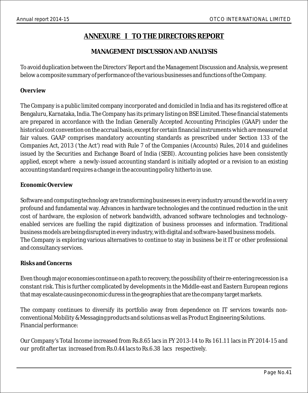### **ANNEXURE I TO THE DIRECTORS REPORT**

### **MANAGEMENT DISCUSSION AND ANALYSIS**

To avoid duplication between the Directors' Report and the Management Discussion and Analysis, we present below a composite summary of performance of the various businesses and functions of the Company.

### **Overview**

The Company is a public limited company incorporated and domiciled in India and has its registered office at Bengaluru, Karnataka, India. The Company has its primary listing on BSE Limited. These financial statements are prepared in accordance with the Indian Generally Accepted Accounting Principles (GAAP) under the historical cost convention on the accrual basis, except for certain financial instruments which are measured at fair values. GAAP comprises mandatory accounting standards as prescribed under Section 133 of the Companies Act, 2013 ('the Act') read with Rule 7 of the Companies (Accounts) Rules, 2014 and guidelines issued by the Securities and Exchange Board of India (SEBI). Accounting policies have been consistently applied, except where a newly-issued accounting standard is initially adopted or a revision to an existing accounting standard requires a change in the accounting policy hitherto in use.

### **Economic Overview**

Software and computing technology are transforming businesses in every industry around the world in a very profound and fundamental way. Advances in hardware technologies and the continued reduction in the unit cost of hardware, the explosion of network bandwidth, advanced software technologies and technologyenabled services are fuelling the rapid digitization of business processes and information. Traditional business models are being disrupted in every industry, with digital and software-based business models. The Company is exploring various alternatives to continue to stay in business be it IT or other professional and consultancy services.

### **Risks and Concerns**

Even though major economies continue on a path to recovery, the possibility of their re-entering recession is a constant risk. This is further complicated by developments in the Middle-east and Eastern European regions that may escalate causing economic duress in the geographies that are the company target markets.

The company continues to diversify its portfolio away from dependence on IT services towards nonconventional Mobility & Messaging products and solutions as well as Product Engineering Solutions. Financial performance:

Our Company's Total Income increased from Rs.8.65 lacs in FY 2013-14 to Rs 161.11 lacs in FY 2014-15 and our profit after tax increased from Rs.0.44 lacs to Rs.6.38 lacs respectively.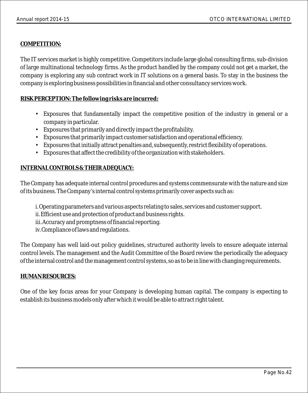### **COMPETITION:**

The IT services market is highly competitive. Competitors include large global consulting firms, sub-division of large multinational technology firms. As the product handled by the company could not get a market, the company is exploring any sub contract work in IT solutions on a general basis. To stay in the business the company is exploring business possibilities in financial and other consultancy services work.

### **RISK PERCEPTION: The following risks are incurred:**

- Exposures that fundamentally impact the competitive position of the industry in general or a company in particular.
- Exposures that primarily and directly impact the profitability.
- Exposures that primarily impact customer satisfaction and operational efficiency.
- Exposures that initially attract penalties and, subsequently, restrict flexibility of operations.
- Exposures that affect the credibility of the organization with stakeholders.

### **INTERNAL CONTROLS & THEIR ADEQUACY:**

The Company has adequate internal control procedures and systems commensurate with the nature and size of its business. The Company's internal control systems primarily cover aspects such as:

- i. Operating parameters and various aspects relating to sales, services and customer support.
- ii. Efficient use and protection of product and business rights.
- iii. Accuracy and promptness of financial reporting.
- iv. Compliance of laws and regulations.

The Company has well laid-out policy guidelines, structured authority levels to ensure adequate internal control levels. The management and the Audit Committee of the Board review the periodically the adequacy of the internal control and the management control systems, so as to be in line with changing requirements.

### **HUMAN RESOURCES:**

One of the key focus areas for your Company is developing human capital. The company is expecting to establish its business models only after which it would be able to attract right talent.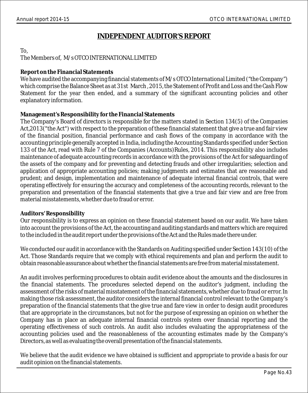### **INDEPENDENT AUDITOR'S REPORT**

### To,

### The Members of, M/s OTCO INTERNATIONAL LIMITED

### **Report on the Financial Statements**

We have audited the accompanying financial statements of M/s OTCO International Limited ("the Company")  $\,$ which comprise the Balance Sheet as at 31st March , 2015, the Statement of Profit and Loss and the Cash Flow Statement for the year then ended, and a summary of the significant accounting policies and other explanatory information.

### **Management's Responsibility for the Financial Statements**

The Company's Board of directors is responsible for the matters stated in Section 134(5) of the Companies Act,2013("the Act") with respect to the preparation of these financial statement that give a true and fair view of the financial position, financial performance and cash flows of the company in accordance with the accounting principle generally accepted in India, including the Accounting Standards specified under Section 133 of the Act, read with Rule 7 of the Companies (Accounts)Rules, 2014. This responsibility also includes maintenance of adequate accounting records in accordance with the provisions of the Act for safeguarding of the assets of the company and for preventing and detecting frauds and other irregularities; selection and application of appropriate accounting policies; making judgments and estimates that are reasonable and prudent; and design, implementation and maintenance of adequate internal financial controls, that were operating effectively for ensuring the accuracy and completeness of the accounting records, relevant to the preparation and presentation of the financial statements that give a true and fair view and are free from material misstatements, whether due to fraud or error.

### **Auditors' Responsibility**

Our responsibility is to express an opinion on these financial statement based on our audit. We have taken into account the provisions of the Act, the accounting and auditing standards and matters which are required to the included in the audit report under the provisions of the Act and the Rules made there under.

We conducted our audit in accordance with the Standards on Auditing specified under Section 143(10) of the Act. Those Standards require that we comply with ethical requirements and plan and perform the audit to obtain reasonable assurance about whether the financial statements are free from material misstatement.

An audit involves performing procedures to obtain audit evidence about the amounts and the disclosures in the financial statements. The procedures selected depend on the auditor's judgment, including the assessment of the risks of material misstatement of the financial statements, whether due to fraud or error. In making those risk assessment, the auditor considers the internal financial control relevant to the Company's preparation of the financial statements that the give true and fare view in order to design audit procedures that are appropriate in the circumstances, but not for the purpose of expressing an opinion on whether the Company has in place an adequate internal financial controls system over financial reporting and the operating effectiveness of such controls. An audit also includes evaluating the appropriateness of the accounting policies used and the reasonableness of the accounting estimates made by the Company's Directors, as well as evaluating the overall presentation of the financial statements.

We believe that the audit evidence we have obtained is sufficient and appropriate to provide a basis for our audit opinion on the financial statements.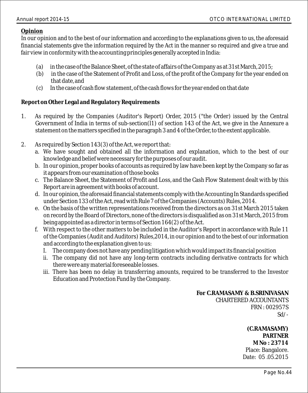### **Opinion**

In our opinion and to the best of our information and according to the explanations given to us, the aforesaid financial statements give the information required by the Act in the manner so required and give a true and fair view in conformity with the accounting principles generally accepted in India:

- (a) in the case of the Balance Sheet, of the state of affairs of the Company as at 31st March, 2015;
- (b) in the case of the Statement of Profit and Loss, of the profit of the Company for the year ended on that date, and
- (c) In the case of cash flow statement, of the cash flows for the year ended on that date

### **Report on Other Legal and Regulatory Requirements**

- 1. As required by the Companies (Auditor's Report) Order, 2015 ("the Order) issued by the Central Government of India in terms of sub-section( $\hat{11}$ ) of section 143 of the Act, we give in the Annexure a statement on the matters specified in the paragraph 3 and 4 of the Order, to the extent applicable.
- 2. As required by Section 143(3) of the Act, we report that:
	- a. We have sought and obtained all the information and explanation, which to the best of our knowledge and belief were necessary for the purposes of our audit.
	- b. In our opinion, proper books of accounts as required by law have been kept by the Company so far as it appears from our examination of those books
	- c. The Balance Sheet, the Statement of Profit and Loss, and the Cash Flow Statement dealt with by this Report are in agreement with books of account.
	- d. In our opinion, the aforesaid financial statements comply with the Accounting In Standards specified under Section 133 of the Act, read with Rule 7 of the Companies (Accounts) Rules, 2014.
	- e. On the basis of the written representations received from the directors as on 31st March 2015 taken on record by the Board of Directors, none of the directors is disqualified as on 31st March, 2015 from being appointed as a director in terms of Section 164(2) of the Act.
	- f. With respect to the other matters to be included in the Auditor's Report in accordance with Rule 11 of the Companies (Audit and Auditors) Rules,2014, in our opinion and to the best of our information and according to the explanation given to us:
		- I. The company does not have any pending litigation which would impact its financial position
		- ii. The company did not have any long-term contracts including derivative contracts for which there were any material foreseeable losses.
		- iii. There has been no delay in transferring amounts, required to be transferred to the Investor Education and Protection Fund by the Company.

 **For C.RAMASAMY & B.SRINIVASAN** CHARTERED ACCOUNTANTS FRN : 002957S  $Sd$  /-

> **(C.RAMASAMY) PARTNER M No : 23714**  Place: Bangalore. Date: 05 .05.2015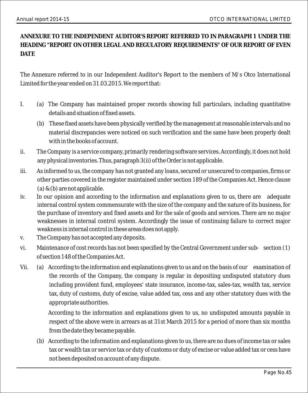**ANNEXURE TO THE INDEPENDENT AUDITOR'S REPORT REFERRED TO IN PARAGRAPH 1 UNDER THE HEADING "REPORT ON OTHER LEGAL AND REGULATORY REQUIREMENTS" OF OUR REPORT OF EVEN DATE** 

The Annexure referred to in our Independent Auditor's Report to the members of M/s Otco International Limited for the year ended on 31.03.2015. We report that:

- I. (a) The Company has maintained proper records showing full particulars, including quantitative details and situation of fixed assets.
	- (b) These fixed assets have been physically verified by the management at reasonable intervals and no material discrepancies were noticed on such verification and the same have been properly dealt with in the books of account.
- ii. The Company is a service company, primarily rendering software services. Accordingly, it does not hold any physical inventories. Thus, paragraph 3(ii) of the Order is not applicable.
- iii. As informed to us, the company has not granted any loans, secured or unsecured to companies, firms or other parties covered in the register maintained under section 189 of the Companies Act. Hence clause (a) & (b) are not applicable.
- iv. In our opinion and according to the information and explanations given to us, there are adequate internal control system commensurate with the size of the company and the nature of its business, for the purchase of inventory and fixed assets and for the sale of goods and services. There are no major weaknesses in internal control system. Accordingly the issue of continuing failure to correct major weakness in internal control in these areas does not apply.
- v. The Company has not accepted any deposits.
- vi. Maintenance of cost records has not been specified by the Central Government under sub- section (1) of section 148 of the Companies Act.
- Vii. (a) According to the information and explanations given to us and on the basis of our examination of the records of the Company, the company is regular in depositing undisputed statutory dues including provident fund, employees' state insurance, income-tax, sales-tax, wealth tax, service tax, duty of customs, duty of excise, value added tax, cess and any other statutory dues with the appropriate authorities.

According to the information and explanations given to us, no undisputed amounts payable in respect of the above were in arrears as at 31st March 2015 for a period of more than six months from the date they became payable.

(b) According to the information and explanations given to us, there are no dues of income tax or sales tax or wealth tax or service tax or duty of customs or duty of excise or value added tax or cess have not been deposited on account of any dispute.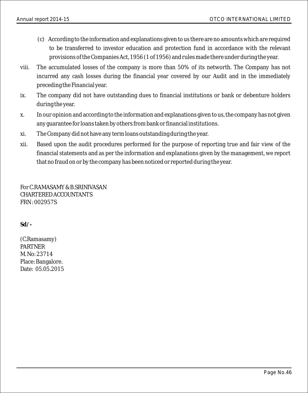- (c) According to the information and explanations given to us there are no amounts which are required to be transferred to investor education and protection fund in accordance with the relevant provisions of the Companies Act, 1956 (1 of 1956) and rules made there under during the year.
- viii. The accumulated losses of the company is more than 50% of its networth. The Company has not incurred any cash losses during the financial year covered by our Audit and in the immediately preceding the Financial year.
- ix. The company did not have outstanding dues to financial institutions or bank or debenture holders during the year.
- x. In our opinion and according to the information and explanations given to us, the company has not given any guarantee for loans taken by others from bank or financial institutions.
- xi. The Company did not have any term loans outstanding during the year.
- xii. Based upon the audit procedures performed for the purpose of reporting true and fair view of the financial statements and as per the information and explanations given by the management, we report that no fraud on or by the company has been noticed or reported during the year.

For C.RAMASAMY & B.SRINIVASAN CHARTERED ACCOUNTANTS FRN : 002957S

**Sd/-**

(C.Ramasamy) PARTNER M. No: 23714 Place: Bangalore. Date: 05.05.2015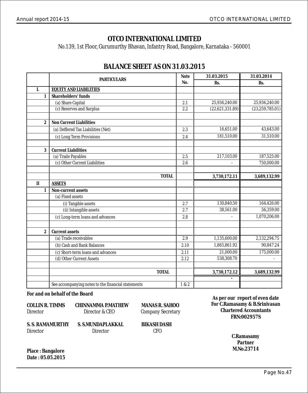No.139, 1st Floor, Gurumurthy Bhavan, Infantry Road, Bangalore, Karnataka - 560001

|                  | <b>PARTICULARS</b>                                 | Note  | 31.03.2015      | 31.03.2014        |
|------------------|----------------------------------------------------|-------|-----------------|-------------------|
|                  |                                                    | No.   | Rs.             | Rs.               |
| I.               | <b>EQUITY AND LIABILITIES</b>                      |       |                 |                   |
| $\mathbf{1}$     | Shareholders' funds                                |       |                 |                   |
|                  | (a) Share Capital                                  | 2.1   | 25,936,240.00   | 25,936,240.00     |
|                  | (c) Reserves and Surplus                           | 2.2   | (22,621,331.89) | (23, 259, 785.01) |
|                  |                                                    |       |                 |                   |
| $\overline{2}$   | Non Current Liabilities                            |       |                 |                   |
|                  | (a) Deffered Tax Liabilities (Net)                 | 2.3   | 16,651.00       | 43,643.00         |
|                  | (c) Long Term Provisions                           | 2.4   | 181,510.00      | 31,510.00         |
|                  |                                                    |       |                 |                   |
| 3                | <b>Current Liabilities</b>                         |       |                 |                   |
|                  | (a) Trade Payables                                 | 2.5   | 217,103.00      | 187,525.00        |
|                  | (c) Other Current Liabilities                      | 2.6   |                 | 750,000.00        |
|                  |                                                    |       |                 |                   |
|                  | <b>TOTAL</b>                                       |       | 3,730,172.11    | 3,689,132.99      |
| $\mathbf{I}$     | <b>ASSETS</b>                                      |       |                 |                   |
| 1                | Non-current assets                                 |       |                 |                   |
|                  | (a) Fixed assets                                   |       |                 |                   |
|                  | (i) Tangible assets                                | 2.7   | 130,840.50      | 164,426.00        |
|                  | (ii) Intangible assets                             | 2.7   | 38,561.00       | 56,359.00         |
|                  | (c) Long-term loans and advances                   | 2.8   |                 | 1,070,206.00      |
|                  |                                                    |       |                 |                   |
| $\boldsymbol{2}$ | Current assets                                     |       |                 |                   |
|                  | (a) Trade receivables                              | 2.9   | 1,135,600.00    | 2,132,294.75      |
|                  | (b) Cash and Bank Balances                         | 2.10  | 1,865,861.92    | 90,847.24         |
|                  | (c) Short-term loans and advances                  | 2.11  | 21,000.00       | 175,000.00        |
|                  | (d) Other Current Assets                           | 2.12  | 538,308.70      |                   |
|                  |                                                    |       |                 |                   |
|                  | <b>TOTAL</b>                                       |       | 3,730,172.12    | 3,689,132.99      |
|                  |                                                    |       |                 |                   |
|                  | See accompanying notes to the financial statements | 1 & 2 |                 |                   |

### **BALANCE SHEET AS ON 31.03.2015**

**For and on behalf of the Board**

| COLLIN R. TIMMS  | CHINNAMMA P.MATHEW | <b>MANAS R</b>  |
|------------------|--------------------|-----------------|
| Director         | Director & CEO     | Company:        |
| S. S. RAMAMURTHY | S. S.MUNDAPLAKKAL  | <b>BIKASH L</b> |
| Director         | Director           | CFO             |

**MANAS R. SAHOO** Company Secretary

**BIKASH DASH<br>CFO** 

**As per our report of even date FRN:002957S Chartered Accountants For C.Ramasamy & B.Srinivasan**

> **C.Ramasamy M.No.23714 Partner**

**Place : Bangalore Date : 05.05.2015**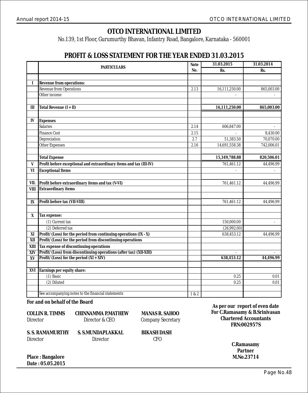No.139, 1st Floor, Gurumurthy Bhavan, Infantry Road, Bangalore, Karnataka - 560001

### **PROFIT & LOSS STATEMENT FOR THE YEAR ENDED 31.03.2015**

|             | Note<br><b>PARTICULARS</b>                                         |       | 31.03.2015    | 31.03.2014 |
|-------------|--------------------------------------------------------------------|-------|---------------|------------|
|             |                                                                    | No.   | Rs.           | Rs.        |
|             |                                                                    |       |               |            |
| I           | Revenue from operations:                                           |       |               |            |
|             | <b>Revenue from Operations</b>                                     | 2.13  | 16,111,250.00 | 865,003.00 |
|             | Other income                                                       |       |               |            |
|             |                                                                    |       |               |            |
| III         | Total Revenue $(I + II)$                                           |       | 16,111,250.00 | 865,003.00 |
|             |                                                                    |       |               |            |
| IV          | <b>Expenses</b>                                                    |       |               |            |
|             | <b>Salaries</b>                                                    | 2.14  | 606.847.00    | ÷,         |
|             | <b>Finance Cost</b>                                                | 2.15  |               | 8,430.00   |
|             | Depreciation                                                       | 2.7   | 51,383.50     | 70,070.00  |
|             | <b>Other Expenses</b>                                              | 2.16  | 14,691,558.38 | 742,006.01 |
|             |                                                                    |       |               |            |
|             | <b>Total Expense</b>                                               |       | 15,349,788.88 | 820,506.01 |
| V           | Profit before exceptional and extraordinary items and tax (III-IV) |       | 761,461.12    | 44,496.99  |
| VI          | <b>Exceptional Items</b>                                           |       | ÷,            |            |
|             |                                                                    |       |               |            |
| VII.        | Profit before extraordinary items and tax (V-VI)                   |       | 761,461.12    | 44,496.99  |
| <b>VIII</b> | Extraordinary items                                                |       |               |            |
|             |                                                                    |       |               |            |
| IX          | Profit before tax (VII-VIII)                                       |       | 761,461.12    | 44,496.99  |
|             |                                                                    |       |               |            |
| X           | Tax expense:                                                       |       |               |            |
|             | (1) Current tax                                                    |       | 150,000.00    |            |
|             | (2) Deferred tax                                                   |       | (26.992.00)   |            |
| XI          | Profit/(Loss) for the period from continuing operations (IX - X)   |       | 638,453.12    | 44,496.99  |
| XII         | Profit/(Loss) for the period from discontinuing operations         |       |               |            |
| XIII        | Tax expense of discontinuing operations                            |       |               |            |
| <b>XIV</b>  | Profit/(Loss) from discontinuing operations (after tax) (XII-XIII) |       | ä,            |            |
| XV          | Profit/ $(Loss)$ for the period $(XI + XIV)$                       |       | 638,453.12    | 44,496.99  |
|             |                                                                    |       |               |            |
| XVI         | Earnings per equity share:                                         |       |               |            |
|             | $(1)$ Basic                                                        |       | 0.25          | 0.01       |
|             | (2) Diluted                                                        |       | 0.25          | 0.01       |
|             |                                                                    |       |               |            |
|             | See accompanying notes to the financial statements                 | 1 & 2 |               |            |

**For and on behalf of the Board**

| <b>COLLIN R. TIMMS</b> | <b>CHINNAMMA P.MATHEW</b> | <b>MANAS R. SAHOO</b>    |
|------------------------|---------------------------|--------------------------|
| Director               | Director & CEO            | <b>Company Secretary</b> |
| S. S. RAMAMURTHY       | S. S.MUNDAPLAKKAL         | <b>BIKASH DASH</b>       |
| Director               | Director                  | CFO.                     |

**As per our report of even date FRN:002957S Chartered Accountants For C.Ramasamy & B.Srinivasan**

> **C.Ramasamy M.No.23714 Partner**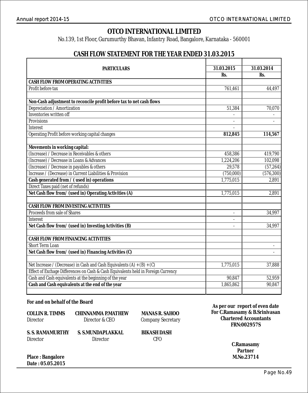No.139, 1st Floor, Gurumurthy Bhavan, Infantry Road, Bangalore, Karnataka - 560001

### **CASH FLOW STATEMENT FOR THE YEAR ENDED 31.03.2015**

| <b>PARTICULARS</b>                                                                                     | 31.03.2015 | 31.03.2014          |
|--------------------------------------------------------------------------------------------------------|------------|---------------------|
|                                                                                                        | Rs.        | Rs.                 |
| <b>CASH FLOW FROM OPERATING ACTIVITIES</b>                                                             |            |                     |
| Profit before tax                                                                                      | 761,461    | 44,497              |
|                                                                                                        |            |                     |
| Non-Cash adjustment to reconcile profit before tax to net cash flows                                   |            |                     |
| Depreciation / Amortization                                                                            | 51.384     | 70.070              |
| Inventories written off                                                                                |            |                     |
| Provisions                                                                                             |            |                     |
| Interest                                                                                               |            |                     |
| Operating Profit before working capital changes                                                        | 812,845    | 114,567             |
| Movements in working capital:                                                                          |            |                     |
| (Increase) / Decrease in Receivables & others                                                          | 458.386    | 419.790             |
| (Increase) / Decrease in Loans & Advances                                                              |            |                     |
|                                                                                                        | 1,224,206  | 102,098<br>(57,264) |
| (Increase) / Decrease in payables & others<br>Increase / (Decrease) in Current Liabilities & Provision | 29,578     |                     |
|                                                                                                        | (750,000)  | (576, 300)<br>2.891 |
| Cash generated from / (used in) operations                                                             | 1,775,015  |                     |
| Direct Taxes paid (net of refunds)                                                                     | 1.775.015  | 2.891               |
| Net Cash flow from/ (used in) Operating Activities (A)                                                 |            |                     |
| CASH FLOW FROM INVESTING ACTIVITIES                                                                    |            |                     |
| Proceeds from sale of Shares                                                                           |            | 34,997              |
| <b>Interest</b>                                                                                        |            |                     |
| Net Cash flow from/ (used in) Investing Activities (B)                                                 |            | 34,997              |
|                                                                                                        |            |                     |
| CASH FLOW FROM FINANCING ACTIVITIES<br>Short Term Loan                                                 |            |                     |
|                                                                                                        |            | ÷.                  |
| Net Cash flow from/ (used in) Financing Activities (C)                                                 |            |                     |
| Net Increase / (Decrease) in Cash and Cash Equivalents (A) + (B) + (C)                                 | 1,775,015  | 37,888              |
| Effect of Exchage Differences on Cash & Cash Equivalents held in Foreign Currency                      |            |                     |
| Cash and Cash equivalents at the beginning of the year                                                 | 90,847     | 52,959              |
| Cash and Cash equivalents at the end of the year                                                       | 1,865,862  | 90.847              |
|                                                                                                        |            |                     |

**For and on behalf of the Board**

| COLLIN R. TIMMS  | <b>CHINNAMMA P.MATHEW</b> | <b>MANAS R</b>  |
|------------------|---------------------------|-----------------|
| Director         | Director & CEO            | Company:        |
| S. S. RAMAMURTHY | S. S.MUNDAPLAKKAL         | <b>BIKASH D</b> |
| Director         | Director                  | CFO             |

**AS R. SAHOO** any Secretary

SH DASH<br>CFO

**As per our report of even date FRN:002957S Chartered Accountants For C.Ramasamy & B.Srinivasan**

> **C.Ramasamy M.No.23714 Partner**

**Place : Bangalore Date : 05.05.2015**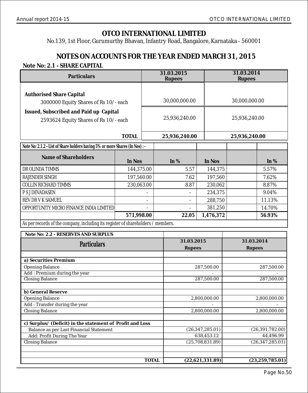No.139, 1st Floor, Gurumurthy Bhavan, Infantry Road, Bangalore, Karnataka - 560001

### **NOTES ON ACCOUNTS FOR THE YEAR ENDED MARCH 31, 2015 Note No: 2.1 - SHARE CAPITAL**

| Particulars                                                                      |            | 31.03.2015<br>Rupees |                      |                   | 31.03.2014<br>Rupees |                   |
|----------------------------------------------------------------------------------|------------|----------------------|----------------------|-------------------|----------------------|-------------------|
| <b>Authorised Share Capital</b><br>3000000 Equity Shares of Rs 10/- each         |            | 30,000,000.00        |                      |                   | 30,000,000.00        |                   |
| Issued, Subscribed and Paid up Capital<br>2593624 Equity Shares of Rs 10/- each  |            | 25,936,240.00        |                      |                   | 25,936,240.00        |                   |
|                                                                                  | TOTAL      |                      | 25,936,240.00        |                   | 25,936,240.00        |                   |
| Note No: 2.1.2 - List of Share holders having 5% or more Shares (In Nos) : -     |            |                      |                      |                   |                      |                   |
| Name of Shareholders                                                             | In Nos     |                      | In $%$               | In Nos            |                      | In $%$            |
| DR OLINDA TIMMS                                                                  | 144,375.00 |                      | 5.57                 | 144,375           |                      | 5.57%             |
| RAJENDER SINGH                                                                   | 197,560.00 |                      | 7.62                 | 197,560           |                      | 7.62%             |
| COLLIN RICHARD TIMMS                                                             | 230,063.00 |                      | 8.87                 | 230,062           |                      | 8.87%             |
| P S J DEVADASEN                                                                  |            |                      |                      | 234,375           |                      | 9.04%             |
| REV DR V K SAMUEL                                                                |            | ä,                   | ä,                   | 288,750           |                      | 11.13%            |
| OPPORTUNITY MICRO FINANCE INDIA LIMITED                                          |            |                      |                      | 381,250           |                      | 14.70%            |
|                                                                                  | 571,998.00 |                      | 22.05                | 1,476,372         |                      | 56.93%            |
| As per records of the company, including its register of shareholders / members. |            |                      |                      |                   |                      |                   |
| Note No: 2.2 - RESERVES AND SURPLUS                                              |            |                      |                      |                   |                      |                   |
| Particulars                                                                      |            |                      | 31.03.2015<br>Rupees |                   | 31.03.2014<br>Rupees |                   |
| a) Securities Premium                                                            |            |                      |                      |                   |                      |                   |
| <b>Opening Balance</b>                                                           |            |                      |                      | 287,500.00        |                      | 287,500.00        |
| Add: Premium during the year                                                     |            |                      |                      |                   |                      |                   |
| <b>Closing Balance</b>                                                           |            |                      |                      | 287,500.00        |                      | 287,500.00        |
| b) General Reserve                                                               |            |                      |                      |                   |                      |                   |
| <b>Opening Balance</b>                                                           |            |                      |                      | 2,800,000.00      |                      | 2,800,000.00      |
| Add: Transfer during the year                                                    |            |                      |                      |                   |                      |                   |
| <b>Closing Balance</b>                                                           |            |                      |                      | 2,800,000.00      |                      | 2,800,000.00      |
| c) Surplus/ (Deficit) in the statement of Profit and Loss                        |            |                      |                      |                   |                      |                   |
| <b>Balance as per Last Financial Statement</b>                                   |            |                      |                      | (26, 347, 285.01) |                      | (26, 391, 782.00) |
| Add: Profit During The Year                                                      |            |                      |                      | 638,453.12        |                      | 44,496.99         |
| <b>Closing Balance</b>                                                           |            |                      |                      | (25,708,831.89)   |                      | (26, 347, 285.01) |
|                                                                                  |            |                      |                      |                   |                      |                   |
|                                                                                  |            | <b>TOTAL</b>         |                      | (22,621,331.89)   |                      | (23, 259, 785.01) |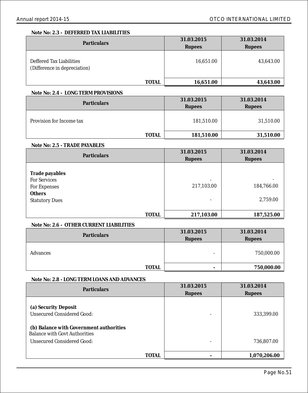#### **Note No: 2.3 - DEFERRED TAX LIABILITIES**

| Particulars                                              | 31.03.2015    | 31.03.2014    |
|----------------------------------------------------------|---------------|---------------|
|                                                          | <b>Rupees</b> | <b>Rupees</b> |
| Deffered Tax Liabilities<br>(Difference in depreciation) | 16,651.00     | 43,643.00     |
| <b>TOTAL</b>                                             | 16,651.00     | 43,643.00     |

#### **Note No: 2.4 - LONG TERM PROVISIONS**

| Particulars              | 31.03.2015<br><b>Rupees</b> | 31.03.2014<br><b>Rupees</b> |  |
|--------------------------|-----------------------------|-----------------------------|--|
| Provision for Income tax | 181,510.00                  | 31,510.00                   |  |
| <b>TOTAL</b>             | 181,510.00                  | 31,510.00                   |  |

#### **Note No: 2.5 - TRADE PAYABLES**

| Particulars                                                                                     | 31.03.2015           | 31.03.2014             |  |
|-------------------------------------------------------------------------------------------------|----------------------|------------------------|--|
|                                                                                                 | <b>Rupees</b>        | <b>Rupees</b>          |  |
| Trade payables<br><b>For Services</b><br>For Expenses<br><b>Others</b><br><b>Statutory Dues</b> | ۰<br>217,103.00<br>۰ | 184,766.00<br>2,759.00 |  |
| <b>TOTAL</b>                                                                                    | 217,103.00           | 187,525.00             |  |

### **Note No: 2.6 - OTHER CURRENT LIABILITIES**

| Particulars  | 31.03.2015<br>Rupees | 31.03.2014<br>Rupees |  |
|--------------|----------------------|----------------------|--|
|              |                      |                      |  |
| Advances     | -                    | 750,000.00           |  |
| <b>TOTAL</b> | ۰                    | 750,000.00           |  |
|              |                      |                      |  |

#### **Note No: 2.8 - LONG TERM LOANS AND ADVANCES**

| Particulars                                                                                   | 31.03.2015    | 31.03.2014    |
|-----------------------------------------------------------------------------------------------|---------------|---------------|
|                                                                                               | <b>Rupees</b> | <b>Rupees</b> |
| (a) Security Deposit<br>Unsecured Considered Good:<br>(b) Balance with Government authorities |               | 333,399.00    |
| <b>Balance with Govt Authorities</b><br>Unsecured Considered Good:                            | ۰             | 736,807.00    |
| <b>TOTAL</b>                                                                                  |               | 1,070,206.00  |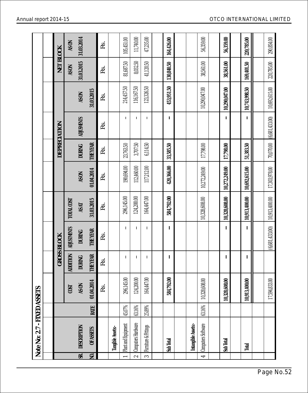|                | Note No: 2.7 - FIXED ASSETS |           |               |                 |                    |               |               |               |                   |               |            |            |
|----------------|-----------------------------|-----------|---------------|-----------------|--------------------|---------------|---------------|---------------|-------------------|---------------|------------|------------|
|                |                             |           |               |                 |                    |               |               |               |                   |               |            |            |
|                |                             |           |               |                 | <b>GROSS BLOCK</b> |               |               | DEPRECIATION  |                   |               | NET BLOCK  |            |
|                |                             |           | COST          | <b>ADDITION</b> | <b>ADJUSTMENTS</b> | TOTAL COST    |               |               |                   |               | AS ON      | AS ON      |
| SR.            | DESCRIPTION                 |           | AS ON         | <b>DURING</b>   | <b>DURING</b>      | AS AT         | AS ON         | <b>DURING</b> | <b>ADJUSMENTS</b> | <b>NOSY</b>   | 31.03.2015 | 31.03.2014 |
| NO.            | <b>OF ASSETS</b>            | RATE      | 01.04.2014    | <b>THE YEAR</b> | <b>THE YEAR</b>    | 31.03.2015    | 01.04.2014    | THE YEAR      |                   | 31.03.2015    |            |            |
|                |                             |           | Rs.           | Rs.             | Rs.                | Rs.           | Rs.           | Rs.           | Rs.               | Rs.           | Rs.        | Rs.        |
|                | Tangible Assets:-           |           |               |                 |                    |               |               |               |                   |               |            |            |
|                | Plant and Equipment         | 45.07%    | 296,145.00    | I.              | T                  | 296,145.00    | 190,694.00    | 23,763.50     | $\mathbf{I}$      | 214,457.50    | 81,687.50  | 105,451.00 |
| $\sim$         | Computers Hardware          | 63.16%    | 124,200.00    | $\mathsf I$     | $\mathbf{I}$       | 124,200.00    | 112,460.00    | 3,707.50      | $\mathbf{I}$      | 116,167.50    | 8,032.50   | 11,740.00  |
| $\infty$       | Furniture & Fittings        | $25.89\%$ | 164,447.00    | $\mathsf I$     | J.                 | 164,447.00    | 117,212.00    | 6,114.50      | $\mathbf{I}$      | 123,326.50    | 41,120.50  | 47,235.00  |
|                |                             |           |               |                 |                    |               |               |               |                   |               |            |            |
|                | Sub Total                   |           | 584,792.00    | I               | T                  | 584,792.00    | 420,366.00    | 33,585.50     | $\mathsf I$       | 453,951.50    | 130,840.50 | 164,426.00 |
|                |                             |           |               |                 |                    |               |               |               |                   |               |            |            |
|                | Intangible Assets:-         |           |               |                 |                    |               |               |               |                   |               |            |            |
| $\overline{r}$ | Computers Software          | 63.16%    | 10,328,608.00 |                 |                    | 10,328,608.00 | 10,272,249.00 | 17,798.00     |                   | 10,290,047.00 | 38,561.00  | 56,359.00  |
|                |                             |           |               |                 |                    |               |               |               |                   |               |            |            |
|                | Sub Total                   |           | 10,328,608.00 | т               | T                  | 10,328,608.00 | 10,272,249.00 | 17,798.00     | $\mathbf{I}$      | 10,290,047.00 | 38,561.00  | 56,359.00  |
|                |                             |           |               |                 |                    |               |               |               |                   |               |            |            |
|                | Total                       |           | 0,913,400.00  | L               | T                  | 10,913,400.00 | 10,692,615.00 | 51,383.50     | L                 | 10,743,998.50 | 169,401.50 | 220,785.00 |
|                |                             |           |               |                 |                    |               |               |               |                   |               |            |            |
|                |                             |           | 17,594,833.00 |                 | (6,681,433.00)     | 10,913,400.00 | 17,303,978.00 | 70,070.00     | (6,681,433.00)    | 10,692,615.00 | 220,785.00 | 290,854.00 |

í.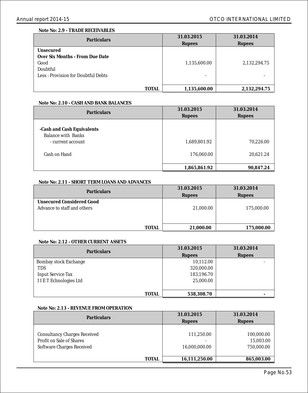#### **Note No: 2.9 - TRADE RECEIVABLES**

| <b>Particulars</b>                 | 31.03.2015   | 31.03.2014   |
|------------------------------------|--------------|--------------|
|                                    | Rupees       | Rupees       |
| Unsecured                          |              |              |
| Over Six Months - From Due Date    |              |              |
| Good                               | 1,135,600.00 | 2,132,294.75 |
| Doubtful                           |              |              |
| Less: Provision for Doubtful Debts |              |              |
|                                    |              |              |
| <b>TOTAL</b>                       | 1,135,600.00 | 2,132,294.75 |

#### **Note No: 2.10 - CASH AND BANK BALANCES**

| Particulars                                                                           | 31.03.2015<br><b>Rupees</b> | 31.03.2014<br><b>Rupees</b> |
|---------------------------------------------------------------------------------------|-----------------------------|-----------------------------|
| -Cash and Cash Equivalents<br>Balance with Banks<br>- current account<br>Cash on Hand | 1,689,801.92<br>176,060.00  | 70,226.00<br>20,621.24      |
|                                                                                       | 1,865,861.92                | 90,847.24                   |

#### **Note No: 2.11 - SHORT TERM LOANS AND ADVANCES**

| Particulars                 | 31.03.2015    | 31.03.2014    |
|-----------------------------|---------------|---------------|
|                             | <b>Rupees</b> | <b>Rupees</b> |
| Unsecured Considered Good   |               |               |
| Advance to staff and others | 21,000.00     | 175,000.00    |
|                             |               |               |
|                             |               |               |
| <b>TOTAL</b>                | 21,000.00     | 175,000.00    |
|                             |               |               |

#### **Note No: 2.12 - OTHER CURRENT ASSETS**

| Particulars                  | 31.03.2015    | 31.03.2014    |
|------------------------------|---------------|---------------|
|                              | <b>Rupees</b> | <b>Rupees</b> |
| <b>Bombay stock Exchange</b> | 10,112.00     |               |
| <b>TDS</b>                   | 320,000.00    |               |
| <b>Input Service Tax</b>     | 183,196.70    |               |
| <b>IIET</b> Echnologies Ltd  | 25,000.00     |               |
|                              |               |               |
| <b>TOTAL</b>                 | 538,308.70    |               |

#### **Note No: 2.13 - REVENUE FROM OPERATION**

| <b>Particulars</b>                                                                           | 31.03.2015                  | 31.03.2014                            |
|----------------------------------------------------------------------------------------------|-----------------------------|---------------------------------------|
|                                                                                              | <b>Rupees</b>               | <b>Rupees</b>                         |
| <b>Consultancy Charges Received</b><br>Profit on Sale of Shares<br>Software Charges Received | 111,250.00<br>16,000,000.00 | 100,000.00<br>15,003.00<br>750,000.00 |
| <b>TOTAL</b>                                                                                 | 16,111,250.00               | 865,003.00                            |

 $\overline{a}$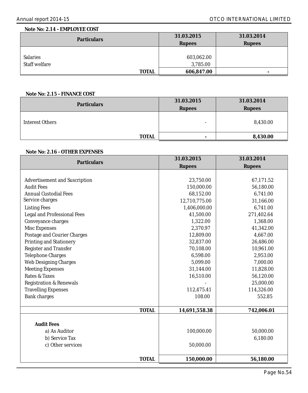#### **Note No: 2.14 - EMPLOYEE COST**

| <b>Particulars</b> | 31.03.2015    | 31.03.2014    |
|--------------------|---------------|---------------|
|                    | <b>Rupees</b> | <b>Rupees</b> |
|                    |               |               |
| <b>Salaries</b>    | 603,062.00    |               |
| Staff welfare      | 3,785.00      |               |
| TOTAL              | 606,847.00    |               |

#### **Note No: 2.15 - FINANCE COST**

| <b>Particulars</b> | 31.03.2015               | 31.03.2014    |
|--------------------|--------------------------|---------------|
|                    | <b>Rupees</b>            | <b>Rupees</b> |
| Interest Others    | $\overline{\phantom{0}}$ | 8,430.00      |
| <b>TOTAL</b>       |                          | 8,430.00      |

#### **Note No: 2.16 - OTHER EXPENSES**

| Particulars                          | 31.03.2015    | 31.03.2014    |
|--------------------------------------|---------------|---------------|
|                                      | <b>Rupees</b> | <b>Rupees</b> |
|                                      |               |               |
| <b>Advertisement and Suscription</b> | 23,750.00     | 67,171.52     |
| <b>Audit Fees</b>                    | 150,000.00    | 56,180.00     |
| <b>Annual Custodial Fees</b>         | 68,152.00     | 6,741.00      |
| Service charges                      | 12,710,775.00 | 31,166.00     |
| <b>Listing Fees</b>                  | 1,406,000.00  | 6.741.00      |
| <b>Legal and Professional Fees</b>   | 41,500.00     | 271,402.64    |
| Conveyance charges                   | 1,322.00      | 1,368.00      |
| <b>Misc Expenses</b>                 | 2,370.97      | 41,342.00     |
| Postage and Courier Charges          | 12,809.00     | 4,667.00      |
| <b>Printing and Stationery</b>       | 32,837.00     | 26,486.00     |
| <b>Register and Transfer</b>         | 70,108.00     | 10,961.00     |
| <b>Telephone Charges</b>             | 6,598.00      | 2,953.00      |
| <b>Web Designing Charges</b>         | 5.099.00      | 7,000.00      |
| <b>Meeting Expenses</b>              | 31,144.00     | 11,828.00     |
| Rates & Taxes                        | 16,510.00     | 56,120.00     |
| <b>Registration &amp; Renewals</b>   |               | 25,000.00     |
| <b>Travelling Expenses</b>           | 112,475.41    | 114,326.00    |
| <b>Bank charges</b>                  | 108.00        | 552.85        |
|                                      |               |               |
| <b>TOTAL</b>                         | 14,691,558.38 | 742,006.01    |
|                                      |               |               |
| <b>Audit Fees</b>                    |               |               |
| a) As Auditor                        | 100,000.00    | 50,000.00     |
| b) Service Tax                       |               | 6,180.00      |
| c) Other services                    | 50,000.00     |               |
|                                      |               |               |
| <b>TOTAL</b>                         | 150,000.00    | 56,180.00     |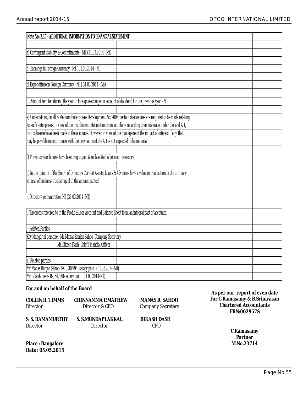| Note No: 2.17 - ADDITIONAL INFORMATION TO FINANCIAL STATEMENT                                                            |  |  |
|--------------------------------------------------------------------------------------------------------------------------|--|--|
|                                                                                                                          |  |  |
| a) Contingent Liability & Commitments - Nil (31.03.2014 - Nil)                                                           |  |  |
|                                                                                                                          |  |  |
| b) Earnings in Foreign Currency - Nil (31.03.2014 - Nil)                                                                 |  |  |
|                                                                                                                          |  |  |
| c) Expenditure in Foreign Currency - Nil (31.03.2014 - Nil)                                                              |  |  |
|                                                                                                                          |  |  |
| d) Amount remited during the year in foreign exchange on account of dividend for the previous year - Nil                 |  |  |
|                                                                                                                          |  |  |
| e) Under Micro, Small & Medium Enterprises Development Act 2006, certain disclosures are required to be made relating    |  |  |
| to such enterprises. In view of the insufficient information from suppliers regarding their coverage under the said Act, |  |  |
| no disclosure have been made in the accounts. However, in view of the management the impact of interest if any, that     |  |  |
| may be payable in accordance with the provisions of the Act is not expected to be material.                              |  |  |
|                                                                                                                          |  |  |
| f) Previous year figures have been regrouped & reclassified wherever necessary.                                          |  |  |
|                                                                                                                          |  |  |
| g) In the opinion of the Board of Directors Current Assets, Loans & Advances have a value on realisation in the ordinary |  |  |
| course of business atleast equal to the amount stated.                                                                   |  |  |
|                                                                                                                          |  |  |
| h) Directors remunaration Nil (31.03.2014- Nil)                                                                          |  |  |
|                                                                                                                          |  |  |
| i) The notes referred to in the Profit & Loss Account and Balance Sheet form an integral part of accounts.               |  |  |
|                                                                                                                          |  |  |
| i) Related Parties                                                                                                       |  |  |
| Key Mangerial personel- Mr. Manas Ranjan Sahoo- Company Secretary                                                        |  |  |
| Mr. Bikash Dash-Chief Financial Officer                                                                                  |  |  |
|                                                                                                                          |  |  |
| k) Related parties                                                                                                       |  |  |
| Mr. Manas Ranjan Sahoo- Rs. 3,38,994- salary paid (31.03.2014-Nil)                                                       |  |  |
| Mr. Bikash Dash- Rs. 64,068- salary paid (31.03.2014-Nil)                                                                |  |  |

**For and on behalf of the Board**

| COLLIN R. TIMMS | CHINNAMMA P.MATHEW                                           | <b>MANAS R. SAHOO</b>      |  |
|-----------------|--------------------------------------------------------------|----------------------------|--|
| Director        | Director & CEO                                               | <b>Company Secretary</b>   |  |
| Director        | S. S. RAMAMURTHY        S. S.MUNDAPLAKKAL<br><b>Director</b> | <b>BIKASH DASH</b><br>CFO. |  |

**As per our report of even date FRN:002957S Chartered Accountants For C.Ramasamy & B.Srinivasan**

> **C.Ramasamy M.No.23714 Partner**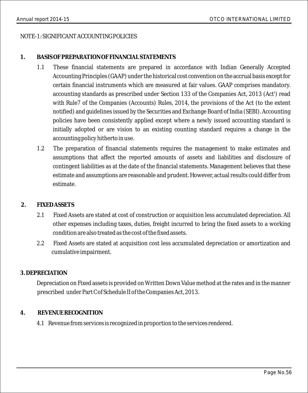### NOTE-1: SIGNIFICANT ACCOUNTING POLICIES

### **1. BASIS OF PREPARATION OF FINANCIAL STATEMENTS**

- 1.1 These financial statements are prepared in accordance with Indian Generally Accepted Accounting Principles (GAAP) under the historical cost convention on the accrual basis except for certain financial instruments which are measured at fair values. GAAP comprises mandatory. accounting standards as prescribed under Section 133 of the Companies Act, 2013 (Act') read with Rule7 of the Companies (Accounts) Rules, 2014, the provisions of the Act (to the extent notified) and guidelines issued by the Securities and Exchange Board of India (SEBI). Accounting policies have been consistently applied except where a newly issued accounting standard is initially adopted or are vision to an existing counting standard requires a change in the accounting policy hitherto in use.
- 1.2 The preparation of financial statements requires the management to make estimates and assumptions that affect the reported amounts of assets and liabilities and disclosure of contingent liabilities as at the date of the financial statements. Management believes that these estimate and assumptions are reasonable and prudent. However, actual results could differ from estimate.

### **2. FIXED ASSETS**

- 2.1 Fixed Assets are stated at cost of construction or acquisition less accumulated depreciation. All other expenses including taxes, duties, freight incurred to bring the fixed assets to a working condition are also treated as the cost of the fixed assets.
- 2.2 Fixed Assets are stated at acquisition cost less accumulated depreciation or amortization and cumulative impairment.

### **3. DEPRECIATION**

Depreciation on Fixed assets is provided on Written Down Value method at the rates and in the manner prescribed under Part C of Schedule II of the Companies Act, 2013.

### **4. REVENUE RECOGNITION**

4.1 Revenue from services is recognized in proportion to the services rendered.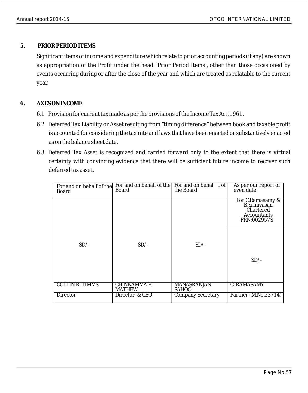### **5. PRIOR PERIOD ITEMS**

Significant items of income and expenditure which relate to prior accounting periods (if any) are shown as appropriation of the Profit under the head "Prior Period Items", other than those occasioned by events occurring during or after the close of the year and which are treated as relatable to the current year.

### **6. AXES ON INCOME**

- 6.1 Provision for current tax made as per the provisions of the Income Tax Act, 1961.
- 6.2 Deferred Tax Liability or Asset resulting from "timing difference" between book and taxable profit is accounted for considering the tax rate and laws that have been enacted or substantively enacted as on the balance sheet date.
- 6.3 Deferred Tax Asset is recognized and carried forward only to the extent that there is virtual certainty with convincing evidence that there will be sufficient future income to recover such deferred tax asset.

| For and on behalf of the<br>Board | For and on behalf of the<br>Board | For and on behal f of<br>the Board | As per our report of<br>even date                                                  |
|-----------------------------------|-----------------------------------|------------------------------------|------------------------------------------------------------------------------------|
|                                   |                                   |                                    | For C.Ramasamy &<br><b>B.Srinivasan</b><br>Chartered<br>Accountants<br>FRN:002957S |
| $SD/-$                            | $SD/-$                            | $SD/-$                             | $SD/-$                                                                             |
|                                   |                                   |                                    |                                                                                    |
| <b>COLLIN R. TIMMS</b>            | CHINNAMMA P.<br><b>MATHEW</b>     | <b>MANASRANJAN</b><br><b>SAHOO</b> | C. RAMASAMY                                                                        |
| Director                          | Director & CEO                    | <b>Company Secretary</b>           | Partner (M.No.23714)                                                               |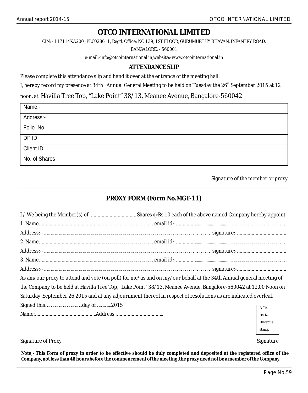CIN: - L17114KA2001PLC028611, Regd. Office: NO 139, 1ST FLOOR, GURUMURTHY BHAVAN, INFANTRY ROAD,

BANGALORE: - 560001

e-mail:-info@otcointernational.in,website:-www.otcointernational.in

### **ATTENDANCE SLIP**

Please complete this attendance slip and hand it over at the entrance of the meeting hall.

I, hereby record my presence at 34th Annual General Meeting to be held on Tuesday the 26<sup>th</sup> September 2015 at 12

noon. at Havilla Tree Top, "Lake Point" 38/13, Meanee Avenue, Bangalore-560042.

| Name:-        |  |
|---------------|--|
| Address:-     |  |
| Folio No.     |  |
| DP ID         |  |
| Client ID     |  |
| No. of Shares |  |

Signature of the member or proxy

### ------------------------------------------------------------------------------------------------------------------------------------------------------- **PROXY FORM (Form No.MGT-11)**

| As am/our proxy to attend and vote (on poll) for me/us and on my/our behalf at the 34th Annual general meeting of |          |  |  |  |  |
|-------------------------------------------------------------------------------------------------------------------|----------|--|--|--|--|
| the Company to be held at Havilla Tree Top, "Lake Point" 38/13, Meanee Avenue, Bangalore-560042 at 12.00 Noon on  |          |  |  |  |  |
| Saturday, September 26,2015 and at any adjournment thereof in respect of resolutions as are indicated overleaf.   |          |  |  |  |  |
| Signed thisday of 2015                                                                                            | Affix    |  |  |  |  |
|                                                                                                                   | $Rs.1/-$ |  |  |  |  |
|                                                                                                                   | Revenue  |  |  |  |  |

#### Signature of Proxy Signature of Proxy Signature and Signature of Proxy Signature and Signature and Signature and Signature and Signature and Signature and Signature and Signature and Signature and Signature and Signature a

**Note;- This Form of proxy in order to be effective should be duly completed and deposited at the registered office of the Company, not less than 48 hours before the commencement of the meeting .the proxy need not be a member of the Company.**

stamp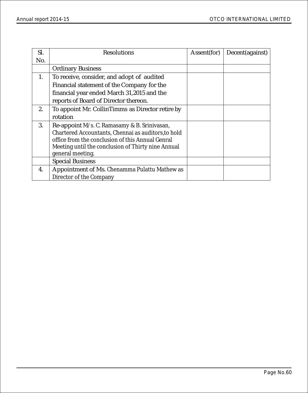| SI. | Resolutions                                         | Assent(for) | Decent(against) |
|-----|-----------------------------------------------------|-------------|-----------------|
| No. |                                                     |             |                 |
|     | <b>Ordinary Business</b>                            |             |                 |
| 1.  | To receive, consider, and adopt of audited          |             |                 |
|     | Financial statement of the Company for the          |             |                 |
|     | financial year ended March 31,2015 and the          |             |                 |
|     | reports of Board of Director thereon.               |             |                 |
| 2.  | To appoint Mr. CollinTimms as Director retire by    |             |                 |
|     | rotation                                            |             |                 |
| 3.  | Re-appoint M/s. C. Ramasamy & B. Srinivasan,        |             |                 |
|     | Chartered Accountants, Chennai as auditors, to hold |             |                 |
|     | office from the conclusion of this Annual Genral    |             |                 |
|     | Meeting until the conclusion of Thirty nine Annual  |             |                 |
|     | general meeting.                                    |             |                 |
|     | <b>Special Business</b>                             |             |                 |
| 4.  | Appointment of Ms. Chenamma Pulattu Mathew as       |             |                 |
|     | Director of the Company                             |             |                 |